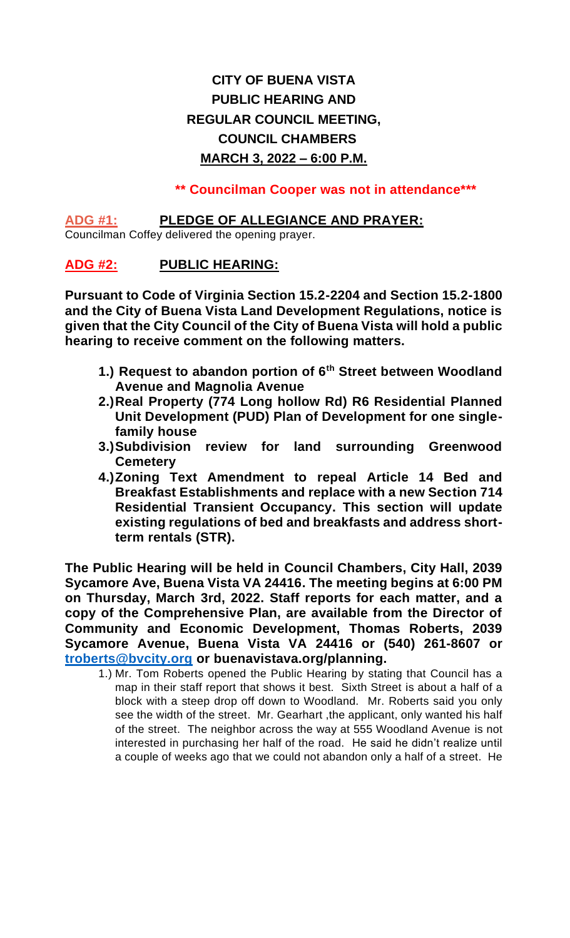# **CITY OF BUENA VISTA PUBLIC HEARING AND REGULAR COUNCIL MEETING, COUNCIL CHAMBERS MARCH 3, 2022 – 6:00 P.M.**

 **\*\* Councilman Cooper was not in attendance\*\*\***

### **ADG #1: PLEDGE OF ALLEGIANCE AND PRAYER:**

Councilman Coffey delivered the opening prayer.

# **ADG #2: PUBLIC HEARING:**

**Pursuant to Code of Virginia Section 15.2-2204 and Section 15.2-1800 and the City of Buena Vista Land Development Regulations, notice is given that the City Council of the City of Buena Vista will hold a public hearing to receive comment on the following matters.**

- **1.) Request to abandon portion of 6th Street between Woodland Avenue and Magnolia Avenue**
- **2.)Real Property (774 Long hollow Rd) R6 Residential Planned Unit Development (PUD) Plan of Development for one singlefamily house**
- **3.)Subdivision review for land surrounding Greenwood Cemetery**
- **4.)Zoning Text Amendment to repeal Article 14 Bed and Breakfast Establishments and replace with a new Section 714 Residential Transient Occupancy. This section will update existing regulations of bed and breakfasts and address shortterm rentals (STR).**

**The Public Hearing will be held in Council Chambers, City Hall, 2039 Sycamore Ave, Buena Vista VA 24416. The meeting begins at 6:00 PM on Thursday, March 3rd, 2022. Staff reports for each matter, and a copy of the Comprehensive Plan, are available from the Director of Community and Economic Development, Thomas Roberts, 2039 Sycamore Avenue, Buena Vista VA 24416 or (540) 261-8607 or [troberts@bvcity.org](mailto:troberts@bvcity.org) or buenavistava.org/planning.**

1.) Mr. Tom Roberts opened the Public Hearing by stating that Council has a map in their staff report that shows it best. Sixth Street is about a half of a block with a steep drop off down to Woodland. Mr. Roberts said you only see the width of the street. Mr. Gearhart, the applicant, only wanted his half of the street. The neighbor across the way at 555 Woodland Avenue is not interested in purchasing her half of the road. He said he didn't realize until a couple of weeks ago that we could not abandon only a half of a street. He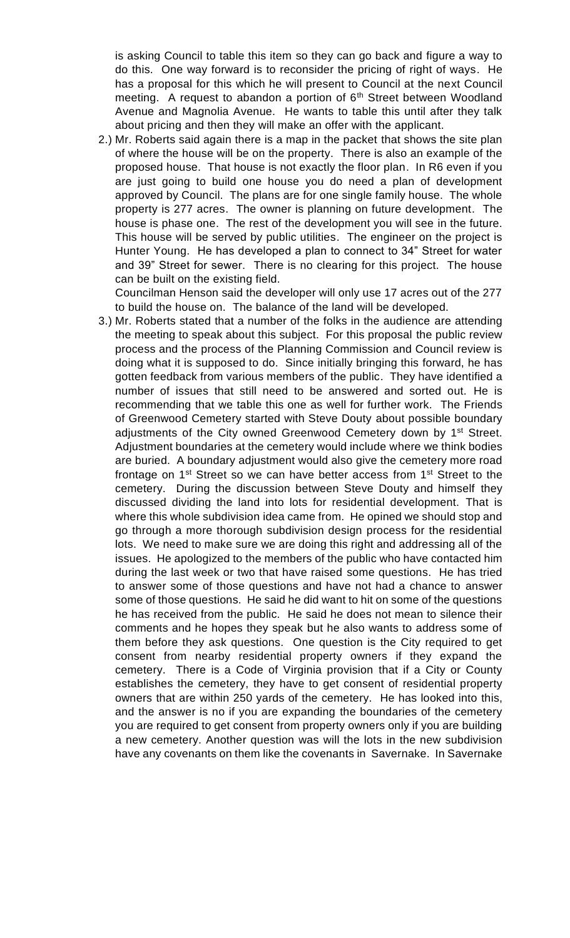is asking Council to table this item so they can go back and figure a way to do this. One way forward is to reconsider the pricing of right of ways. He has a proposal for this which he will present to Council at the next Council meeting. A request to abandon a portion of  $6<sup>th</sup>$  Street between Woodland Avenue and Magnolia Avenue. He wants to table this until after they talk about pricing and then they will make an offer with the applicant.

2.) Mr. Roberts said again there is a map in the packet that shows the site plan of where the house will be on the property. There is also an example of the proposed house. That house is not exactly the floor plan. In R6 even if you are just going to build one house you do need a plan of development approved by Council. The plans are for one single family house. The whole property is 277 acres. The owner is planning on future development. The house is phase one. The rest of the development you will see in the future. This house will be served by public utilities. The engineer on the project is Hunter Young. He has developed a plan to connect to 34" Street for water and 39" Street for sewer. There is no clearing for this project. The house can be built on the existing field.

Councilman Henson said the developer will only use 17 acres out of the 277 to build the house on. The balance of the land will be developed.

3.) Mr. Roberts stated that a number of the folks in the audience are attending the meeting to speak about this subject. For this proposal the public review process and the process of the Planning Commission and Council review is doing what it is supposed to do. Since initially bringing this forward, he has gotten feedback from various members of the public. They have identified a number of issues that still need to be answered and sorted out. He is recommending that we table this one as well for further work. The Friends of Greenwood Cemetery started with Steve Douty about possible boundary adjustments of the City owned Greenwood Cemetery down by 1<sup>st</sup> Street. Adjustment boundaries at the cemetery would include where we think bodies are buried. A boundary adjustment would also give the cemetery more road frontage on  $1^{st}$  Street so we can have better access from  $1^{st}$  Street to the cemetery. During the discussion between Steve Douty and himself they discussed dividing the land into lots for residential development. That is where this whole subdivision idea came from. He opined we should stop and go through a more thorough subdivision design process for the residential lots. We need to make sure we are doing this right and addressing all of the issues. He apologized to the members of the public who have contacted him during the last week or two that have raised some questions. He has tried to answer some of those questions and have not had a chance to answer some of those questions. He said he did want to hit on some of the questions he has received from the public. He said he does not mean to silence their comments and he hopes they speak but he also wants to address some of them before they ask questions. One question is the City required to get consent from nearby residential property owners if they expand the cemetery. There is a Code of Virginia provision that if a City or County establishes the cemetery, they have to get consent of residential property owners that are within 250 yards of the cemetery. He has looked into this, and the answer is no if you are expanding the boundaries of the cemetery you are required to get consent from property owners only if you are building a new cemetery. Another question was will the lots in the new subdivision have any covenants on them like the covenants in Savernake. In Savernake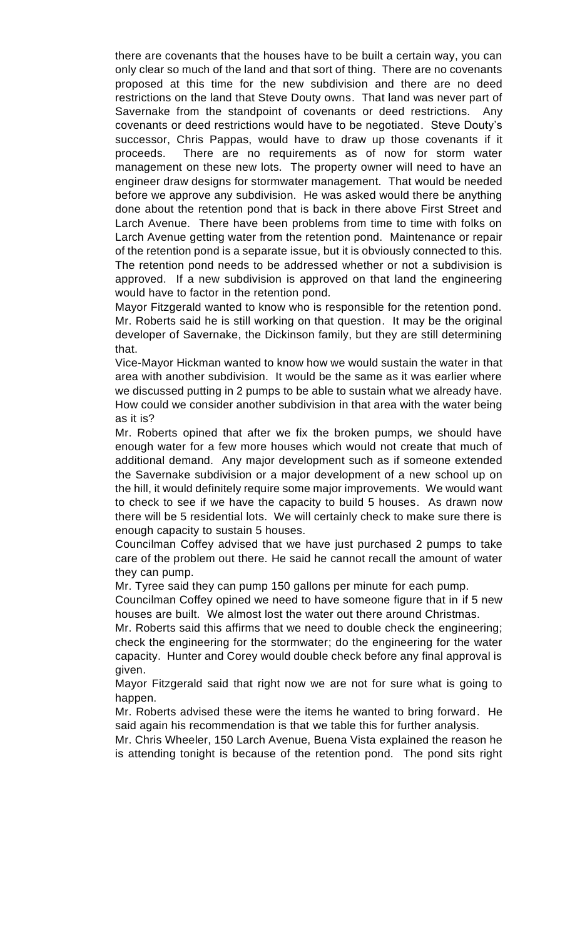there are covenants that the houses have to be built a certain way, you can only clear so much of the land and that sort of thing. There are no covenants proposed at this time for the new subdivision and there are no deed restrictions on the land that Steve Douty owns. That land was never part of Savernake from the standpoint of covenants or deed restrictions. Any covenants or deed restrictions would have to be negotiated. Steve Douty's successor, Chris Pappas, would have to draw up those covenants if it proceeds. There are no requirements as of now for storm water management on these new lots. The property owner will need to have an engineer draw designs for stormwater management. That would be needed before we approve any subdivision. He was asked would there be anything done about the retention pond that is back in there above First Street and Larch Avenue. There have been problems from time to time with folks on Larch Avenue getting water from the retention pond. Maintenance or repair of the retention pond is a separate issue, but it is obviously connected to this. The retention pond needs to be addressed whether or not a subdivision is approved. If a new subdivision is approved on that land the engineering would have to factor in the retention pond.

Mayor Fitzgerald wanted to know who is responsible for the retention pond. Mr. Roberts said he is still working on that question. It may be the original developer of Savernake, the Dickinson family, but they are still determining that.

Vice-Mayor Hickman wanted to know how we would sustain the water in that area with another subdivision. It would be the same as it was earlier where we discussed putting in 2 pumps to be able to sustain what we already have. How could we consider another subdivision in that area with the water being as it is?

Mr. Roberts opined that after we fix the broken pumps, we should have enough water for a few more houses which would not create that much of additional demand. Any major development such as if someone extended the Savernake subdivision or a major development of a new school up on the hill, it would definitely require some major improvements. We would want to check to see if we have the capacity to build 5 houses. As drawn now there will be 5 residential lots. We will certainly check to make sure there is enough capacity to sustain 5 houses.

Councilman Coffey advised that we have just purchased 2 pumps to take care of the problem out there. He said he cannot recall the amount of water they can pump.

Mr. Tyree said they can pump 150 gallons per minute for each pump.

Councilman Coffey opined we need to have someone figure that in if 5 new houses are built. We almost lost the water out there around Christmas.

Mr. Roberts said this affirms that we need to double check the engineering; check the engineering for the stormwater; do the engineering for the water capacity. Hunter and Corey would double check before any final approval is given.

Mayor Fitzgerald said that right now we are not for sure what is going to happen.

Mr. Roberts advised these were the items he wanted to bring forward. He said again his recommendation is that we table this for further analysis.

Mr. Chris Wheeler, 150 Larch Avenue, Buena Vista explained the reason he is attending tonight is because of the retention pond. The pond sits right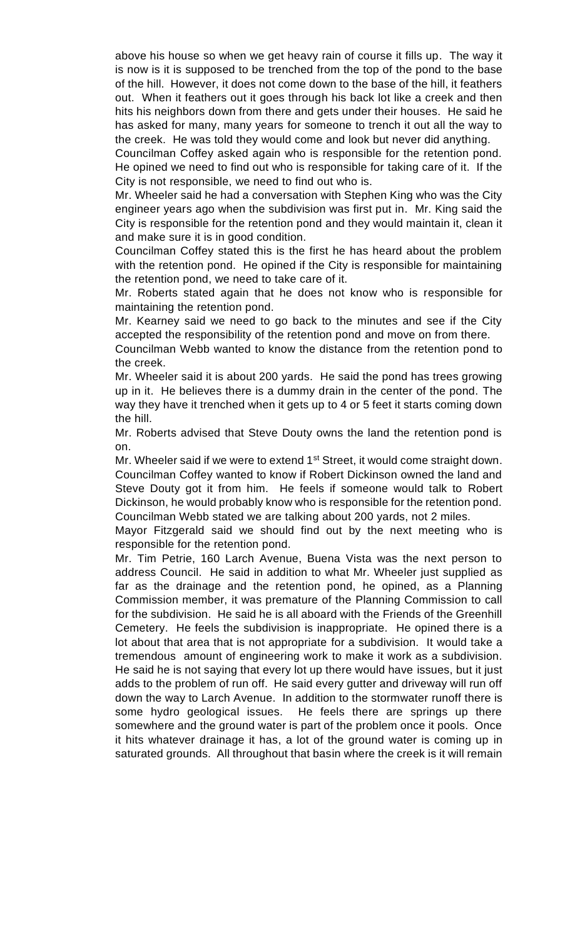above his house so when we get heavy rain of course it fills up. The way it is now is it is supposed to be trenched from the top of the pond to the base of the hill. However, it does not come down to the base of the hill, it feathers out. When it feathers out it goes through his back lot like a creek and then hits his neighbors down from there and gets under their houses. He said he has asked for many, many years for someone to trench it out all the way to the creek. He was told they would come and look but never did anything.

Councilman Coffey asked again who is responsible for the retention pond. He opined we need to find out who is responsible for taking care of it. If the City is not responsible, we need to find out who is.

Mr. Wheeler said he had a conversation with Stephen King who was the City engineer years ago when the subdivision was first put in. Mr. King said the City is responsible for the retention pond and they would maintain it, clean it and make sure it is in good condition.

Councilman Coffey stated this is the first he has heard about the problem with the retention pond. He opined if the City is responsible for maintaining the retention pond, we need to take care of it.

Mr. Roberts stated again that he does not know who is responsible for maintaining the retention pond.

Mr. Kearney said we need to go back to the minutes and see if the City accepted the responsibility of the retention pond and move on from there.

Councilman Webb wanted to know the distance from the retention pond to the creek.

Mr. Wheeler said it is about 200 yards. He said the pond has trees growing up in it. He believes there is a dummy drain in the center of the pond. The way they have it trenched when it gets up to 4 or 5 feet it starts coming down the hill.

Mr. Roberts advised that Steve Douty owns the land the retention pond is on.

Mr. Wheeler said if we were to extend 1<sup>st</sup> Street, it would come straight down. Councilman Coffey wanted to know if Robert Dickinson owned the land and Steve Douty got it from him. He feels if someone would talk to Robert Dickinson, he would probably know who is responsible for the retention pond. Councilman Webb stated we are talking about 200 yards, not 2 miles.

Mayor Fitzgerald said we should find out by the next meeting who is responsible for the retention pond.

Mr. Tim Petrie, 160 Larch Avenue, Buena Vista was the next person to address Council. He said in addition to what Mr. Wheeler just supplied as far as the drainage and the retention pond, he opined, as a Planning Commission member, it was premature of the Planning Commission to call for the subdivision. He said he is all aboard with the Friends of the Greenhill Cemetery. He feels the subdivision is inappropriate. He opined there is a lot about that area that is not appropriate for a subdivision. It would take a tremendous amount of engineering work to make it work as a subdivision. He said he is not saying that every lot up there would have issues, but it just adds to the problem of run off. He said every gutter and driveway will run off down the way to Larch Avenue. In addition to the stormwater runoff there is some hydro geological issues. He feels there are springs up there somewhere and the ground water is part of the problem once it pools. Once it hits whatever drainage it has, a lot of the ground water is coming up in saturated grounds. All throughout that basin where the creek is it will remain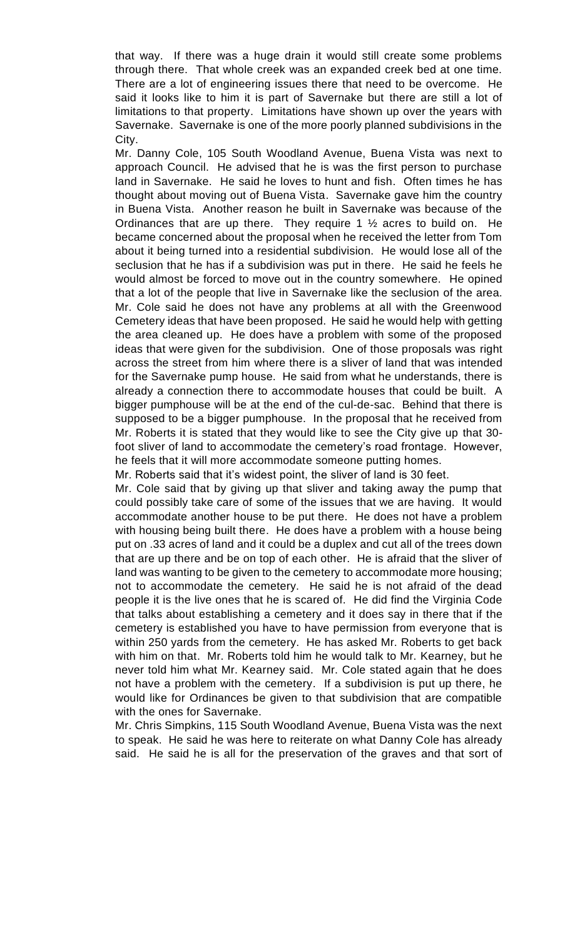that way. If there was a huge drain it would still create some problems through there. That whole creek was an expanded creek bed at one time. There are a lot of engineering issues there that need to be overcome. He said it looks like to him it is part of Savernake but there are still a lot of limitations to that property. Limitations have shown up over the years with Savernake. Savernake is one of the more poorly planned subdivisions in the City.

Mr. Danny Cole, 105 South Woodland Avenue, Buena Vista was next to approach Council. He advised that he is was the first person to purchase land in Savernake. He said he loves to hunt and fish. Often times he has thought about moving out of Buena Vista. Savernake gave him the country in Buena Vista. Another reason he built in Savernake was because of the Ordinances that are up there. They require 1 ½ acres to build on. He became concerned about the proposal when he received the letter from Tom about it being turned into a residential subdivision. He would lose all of the seclusion that he has if a subdivision was put in there. He said he feels he would almost be forced to move out in the country somewhere. He opined that a lot of the people that live in Savernake like the seclusion of the area. Mr. Cole said he does not have any problems at all with the Greenwood Cemetery ideas that have been proposed. He said he would help with getting the area cleaned up. He does have a problem with some of the proposed ideas that were given for the subdivision. One of those proposals was right across the street from him where there is a sliver of land that was intended for the Savernake pump house. He said from what he understands, there is already a connection there to accommodate houses that could be built. A bigger pumphouse will be at the end of the cul-de-sac. Behind that there is supposed to be a bigger pumphouse. In the proposal that he received from Mr. Roberts it is stated that they would like to see the City give up that 30 foot sliver of land to accommodate the cemetery's road frontage. However, he feels that it will more accommodate someone putting homes.

Mr. Roberts said that it's widest point, the sliver of land is 30 feet.

Mr. Cole said that by giving up that sliver and taking away the pump that could possibly take care of some of the issues that we are having. It would accommodate another house to be put there. He does not have a problem with housing being built there. He does have a problem with a house being put on .33 acres of land and it could be a duplex and cut all of the trees down that are up there and be on top of each other. He is afraid that the sliver of land was wanting to be given to the cemetery to accommodate more housing; not to accommodate the cemetery. He said he is not afraid of the dead people it is the live ones that he is scared of. He did find the Virginia Code that talks about establishing a cemetery and it does say in there that if the cemetery is established you have to have permission from everyone that is within 250 yards from the cemetery. He has asked Mr. Roberts to get back with him on that. Mr. Roberts told him he would talk to Mr. Kearney, but he never told him what Mr. Kearney said. Mr. Cole stated again that he does not have a problem with the cemetery. If a subdivision is put up there, he would like for Ordinances be given to that subdivision that are compatible with the ones for Savernake.

Mr. Chris Simpkins, 115 South Woodland Avenue, Buena Vista was the next to speak. He said he was here to reiterate on what Danny Cole has already said. He said he is all for the preservation of the graves and that sort of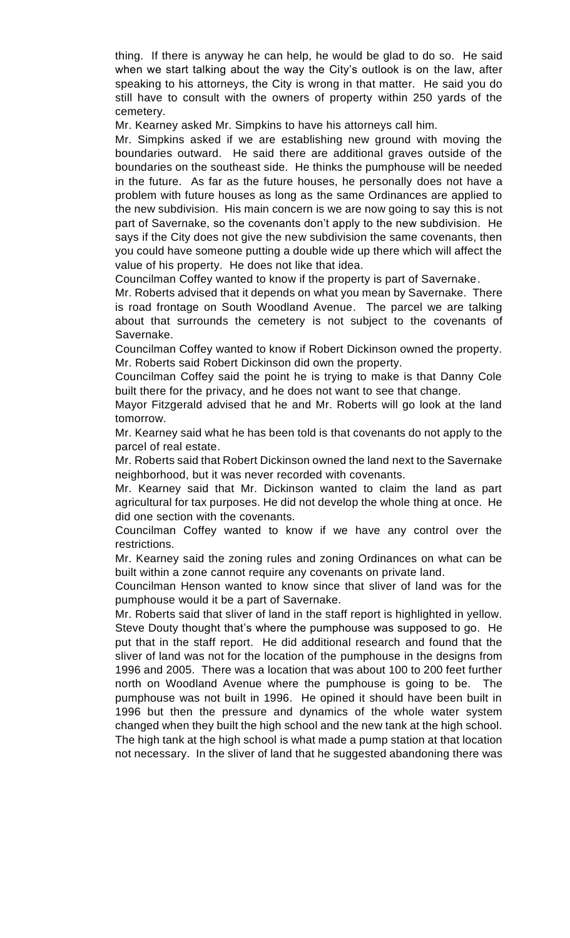thing. If there is anyway he can help, he would be glad to do so. He said when we start talking about the way the City's outlook is on the law, after speaking to his attorneys, the City is wrong in that matter. He said you do still have to consult with the owners of property within 250 yards of the cemetery.

Mr. Kearney asked Mr. Simpkins to have his attorneys call him.

Mr. Simpkins asked if we are establishing new ground with moving the boundaries outward. He said there are additional graves outside of the boundaries on the southeast side. He thinks the pumphouse will be needed in the future. As far as the future houses, he personally does not have a problem with future houses as long as the same Ordinances are applied to the new subdivision. His main concern is we are now going to say this is not part of Savernake, so the covenants don't apply to the new subdivision. He says if the City does not give the new subdivision the same covenants, then you could have someone putting a double wide up there which will affect the value of his property. He does not like that idea.

Councilman Coffey wanted to know if the property is part of Savernake.

Mr. Roberts advised that it depends on what you mean by Savernake. There is road frontage on South Woodland Avenue. The parcel we are talking about that surrounds the cemetery is not subject to the covenants of Savernake.

Councilman Coffey wanted to know if Robert Dickinson owned the property. Mr. Roberts said Robert Dickinson did own the property.

Councilman Coffey said the point he is trying to make is that Danny Cole built there for the privacy, and he does not want to see that change.

Mayor Fitzgerald advised that he and Mr. Roberts will go look at the land tomorrow.

Mr. Kearney said what he has been told is that covenants do not apply to the parcel of real estate.

Mr. Roberts said that Robert Dickinson owned the land next to the Savernake neighborhood, but it was never recorded with covenants.

Mr. Kearney said that Mr. Dickinson wanted to claim the land as part agricultural for tax purposes. He did not develop the whole thing at once. He did one section with the covenants.

Councilman Coffey wanted to know if we have any control over the restrictions.

Mr. Kearney said the zoning rules and zoning Ordinances on what can be built within a zone cannot require any covenants on private land.

Councilman Henson wanted to know since that sliver of land was for the pumphouse would it be a part of Savernake.

Mr. Roberts said that sliver of land in the staff report is highlighted in yellow. Steve Douty thought that's where the pumphouse was supposed to go. He put that in the staff report. He did additional research and found that the sliver of land was not for the location of the pumphouse in the designs from 1996 and 2005. There was a location that was about 100 to 200 feet further north on Woodland Avenue where the pumphouse is going to be. The pumphouse was not built in 1996. He opined it should have been built in 1996 but then the pressure and dynamics of the whole water system changed when they built the high school and the new tank at the high school. The high tank at the high school is what made a pump station at that location not necessary. In the sliver of land that he suggested abandoning there was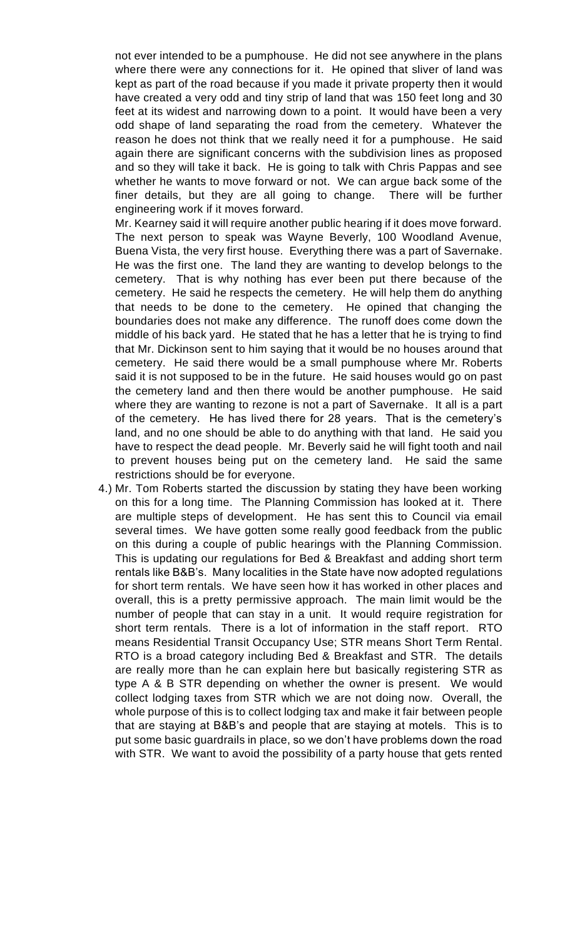not ever intended to be a pumphouse. He did not see anywhere in the plans where there were any connections for it. He opined that sliver of land was kept as part of the road because if you made it private property then it would have created a very odd and tiny strip of land that was 150 feet long and 30 feet at its widest and narrowing down to a point. It would have been a very odd shape of land separating the road from the cemetery. Whatever the reason he does not think that we really need it for a pumphouse. He said again there are significant concerns with the subdivision lines as proposed and so they will take it back. He is going to talk with Chris Pappas and see whether he wants to move forward or not. We can argue back some of the finer details, but they are all going to change. There will be further engineering work if it moves forward.

Mr. Kearney said it will require another public hearing if it does move forward. The next person to speak was Wayne Beverly, 100 Woodland Avenue, Buena Vista, the very first house. Everything there was a part of Savernake. He was the first one. The land they are wanting to develop belongs to the cemetery. That is why nothing has ever been put there because of the cemetery. He said he respects the cemetery. He will help them do anything that needs to be done to the cemetery. He opined that changing the boundaries does not make any difference. The runoff does come down the middle of his back yard. He stated that he has a letter that he is trying to find that Mr. Dickinson sent to him saying that it would be no houses around that cemetery. He said there would be a small pumphouse where Mr. Roberts said it is not supposed to be in the future. He said houses would go on past the cemetery land and then there would be another pumphouse. He said where they are wanting to rezone is not a part of Savernake. It all is a part of the cemetery. He has lived there for 28 years. That is the cemetery's land, and no one should be able to do anything with that land. He said you have to respect the dead people. Mr. Beverly said he will fight tooth and nail to prevent houses being put on the cemetery land. He said the same restrictions should be for everyone.

4.) Mr. Tom Roberts started the discussion by stating they have been working on this for a long time. The Planning Commission has looked at it. There are multiple steps of development. He has sent this to Council via email several times. We have gotten some really good feedback from the public on this during a couple of public hearings with the Planning Commission. This is updating our regulations for Bed & Breakfast and adding short term rentals like B&B's. Many localities in the State have now adopted regulations for short term rentals. We have seen how it has worked in other places and overall, this is a pretty permissive approach. The main limit would be the number of people that can stay in a unit. It would require registration for short term rentals. There is a lot of information in the staff report. RTO means Residential Transit Occupancy Use; STR means Short Term Rental. RTO is a broad category including Bed & Breakfast and STR. The details are really more than he can explain here but basically registering STR as type A & B STR depending on whether the owner is present. We would collect lodging taxes from STR which we are not doing now. Overall, the whole purpose of this is to collect lodging tax and make it fair between people that are staying at B&B's and people that are staying at motels. This is to put some basic guardrails in place, so we don't have problems down the road with STR. We want to avoid the possibility of a party house that gets rented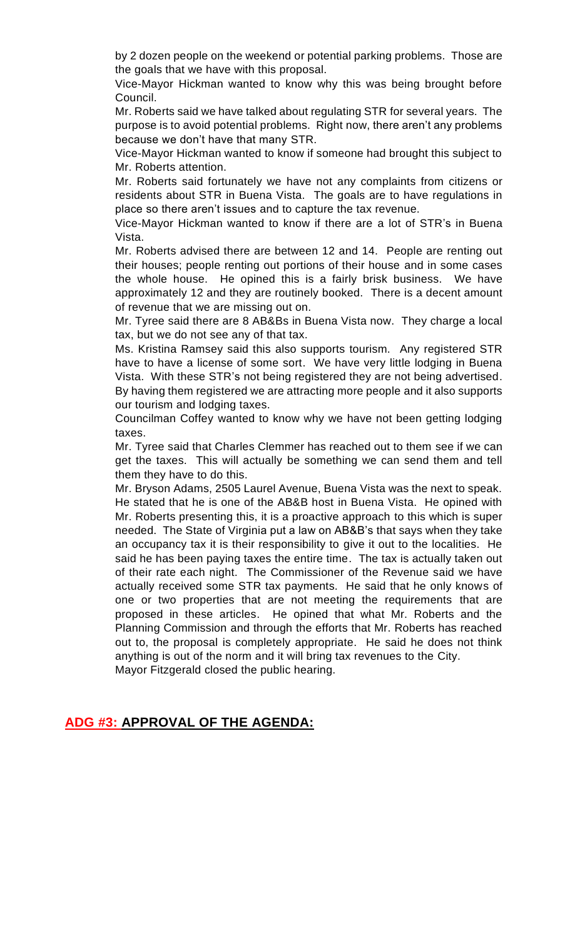by 2 dozen people on the weekend or potential parking problems. Those are the goals that we have with this proposal.

Vice-Mayor Hickman wanted to know why this was being brought before Council.

Mr. Roberts said we have talked about regulating STR for several years. The purpose is to avoid potential problems. Right now, there aren't any problems because we don't have that many STR.

Vice-Mayor Hickman wanted to know if someone had brought this subject to Mr. Roberts attention.

Mr. Roberts said fortunately we have not any complaints from citizens or residents about STR in Buena Vista. The goals are to have regulations in place so there aren't issues and to capture the tax revenue.

Vice-Mayor Hickman wanted to know if there are a lot of STR's in Buena Vista.

Mr. Roberts advised there are between 12 and 14. People are renting out their houses; people renting out portions of their house and in some cases the whole house. He opined this is a fairly brisk business. We have approximately 12 and they are routinely booked. There is a decent amount of revenue that we are missing out on.

Mr. Tyree said there are 8 AB&Bs in Buena Vista now. They charge a local tax, but we do not see any of that tax.

Ms. Kristina Ramsey said this also supports tourism. Any registered STR have to have a license of some sort. We have very little lodging in Buena Vista. With these STR's not being registered they are not being advertised. By having them registered we are attracting more people and it also supports our tourism and lodging taxes.

Councilman Coffey wanted to know why we have not been getting lodging taxes.

Mr. Tyree said that Charles Clemmer has reached out to them see if we can get the taxes. This will actually be something we can send them and tell them they have to do this.

Mr. Bryson Adams, 2505 Laurel Avenue, Buena Vista was the next to speak. He stated that he is one of the AB&B host in Buena Vista. He opined with Mr. Roberts presenting this, it is a proactive approach to this which is super needed. The State of Virginia put a law on AB&B's that says when they take an occupancy tax it is their responsibility to give it out to the localities. He said he has been paying taxes the entire time. The tax is actually taken out of their rate each night. The Commissioner of the Revenue said we have actually received some STR tax payments. He said that he only knows of one or two properties that are not meeting the requirements that are proposed in these articles. He opined that what Mr. Roberts and the Planning Commission and through the efforts that Mr. Roberts has reached out to, the proposal is completely appropriate. He said he does not think anything is out of the norm and it will bring tax revenues to the City.

Mayor Fitzgerald closed the public hearing.

### **ADG #3: APPROVAL OF THE AGENDA:**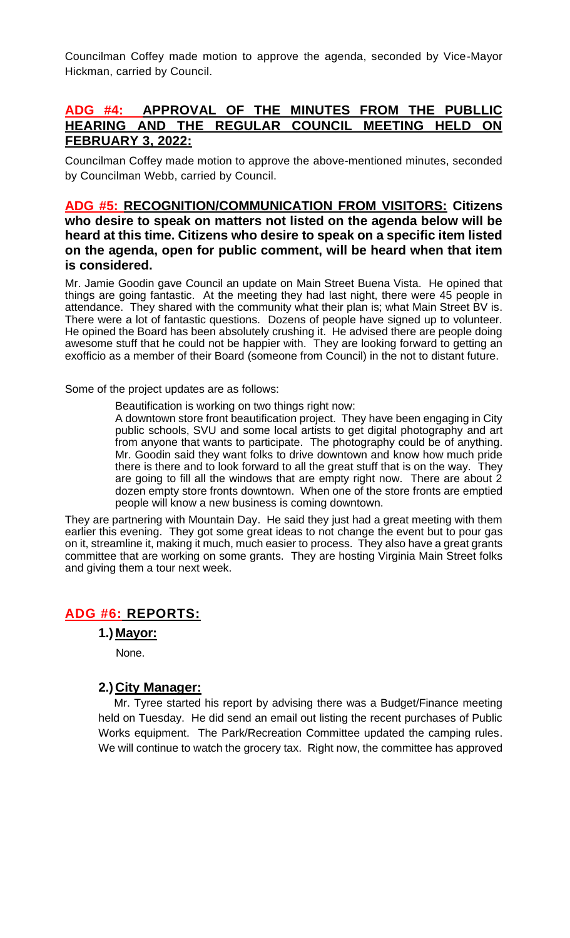Councilman Coffey made motion to approve the agenda, seconded by Vice-Mayor Hickman, carried by Council.

### **ADG #4: APPROVAL OF THE MINUTES FROM THE PUBLLIC HEARING AND THE REGULAR COUNCIL MEETING HELD ON FEBRUARY 3, 2022:**

Councilman Coffey made motion to approve the above-mentioned minutes, seconded by Councilman Webb, carried by Council.

### **ADG #5: RECOGNITION/COMMUNICATION FROM VISITORS: Citizens who desire to speak on matters not listed on the agenda below will be heard at this time. Citizens who desire to speak on a specific item listed on the agenda, open for public comment, will be heard when that item is considered.**

Mr. Jamie Goodin gave Council an update on Main Street Buena Vista. He opined that things are going fantastic. At the meeting they had last night, there were 45 people in attendance. They shared with the community what their plan is; what Main Street BV is. There were a lot of fantastic questions. Dozens of people have signed up to volunteer. He opined the Board has been absolutely crushing it. He advised there are people doing awesome stuff that he could not be happier with. They are looking forward to getting an exofficio as a member of their Board (someone from Council) in the not to distant future.

Some of the project updates are as follows:

Beautification is working on two things right now:

A downtown store front beautification project. They have been engaging in City public schools, SVU and some local artists to get digital photography and art from anyone that wants to participate. The photography could be of anything. Mr. Goodin said they want folks to drive downtown and know how much pride there is there and to look forward to all the great stuff that is on the way. They are going to fill all the windows that are empty right now. There are about 2 dozen empty store fronts downtown. When one of the store fronts are emptied people will know a new business is coming downtown.

They are partnering with Mountain Day. He said they just had a great meeting with them earlier this evening. They got some great ideas to not change the event but to pour gas on it, streamline it, making it much, much easier to process. They also have a great grants committee that are working on some grants. They are hosting Virginia Main Street folks and giving them a tour next week.

### **ADG #6: REPORTS:**

#### **1.) Mayor:**

None.

#### **2.) City Manager:**

 Mr. Tyree started his report by advising there was a Budget/Finance meeting held on Tuesday. He did send an email out listing the recent purchases of Public Works equipment. The Park/Recreation Committee updated the camping rules. We will continue to watch the grocery tax. Right now, the committee has approved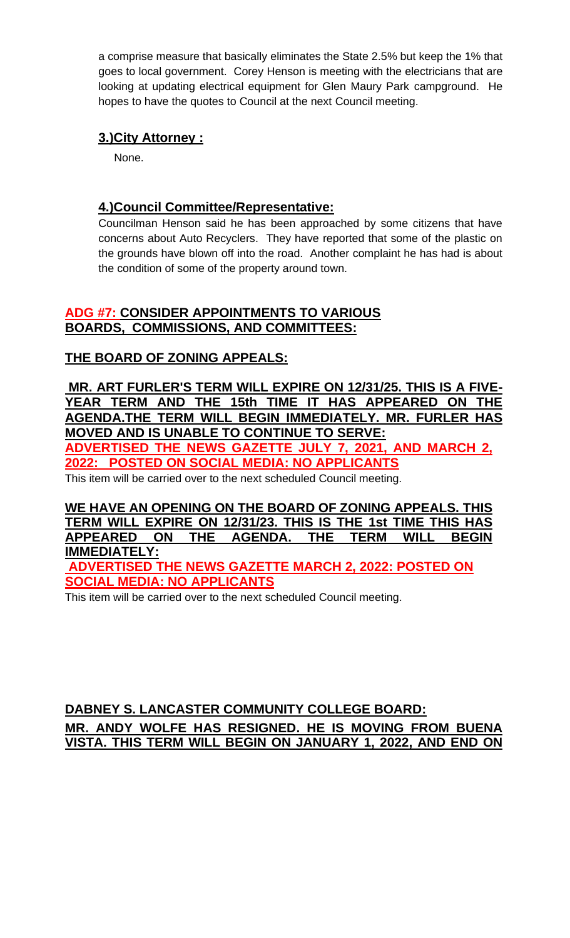a comprise measure that basically eliminates the State 2.5% but keep the 1% that goes to local government. Corey Henson is meeting with the electricians that are looking at updating electrical equipment for Glen Maury Park campground. He hopes to have the quotes to Council at the next Council meeting.

### **3.)City Attorney :**

None.

### **4.)Council Committee/Representative:**

Councilman Henson said he has been approached by some citizens that have concerns about Auto Recyclers. They have reported that some of the plastic on the grounds have blown off into the road. Another complaint he has had is about the condition of some of the property around town.

### **ADG #7: CONSIDER APPOINTMENTS TO VARIOUS BOARDS, COMMISSIONS, AND COMMITTEES:**

# **THE BOARD OF ZONING APPEALS:**

**MR. ART FURLER'S TERM WILL EXPIRE ON 12/31/25. THIS IS A FIVE-YEAR TERM AND THE 15th TIME IT HAS APPEARED ON THE AGENDA.THE TERM WILL BEGIN [IMMEDIATELY. MR.](http://immediately.mr/) FURLER HAS MOVED AND IS UNABLE TO CONTINUE TO SERVE: ADVERTISED THE NEWS GAZETTE JULY 7, 2021, AND MARCH 2, 2022: POSTED ON SOCIAL MEDIA: NO APPLICANTS**

This item will be carried over to the next scheduled Council meeting.

**WE HAVE AN OPENING ON THE BOARD OF ZONING APPEALS. THIS TERM WILL EXPIRE ON 12/31/23. THIS IS THE 1st TIME THIS HAS APPEARED ON THE AGENDA. THE TERM WILL BEGIN IMMEDIATELY: ADVERTISED THE NEWS GAZETTE MARCH 2, 2022: POSTED ON** 

**SOCIAL MEDIA: NO APPLICANTS**

This item will be carried over to the next scheduled Council meeting.

# **DABNEY S. LANCASTER COMMUNITY COLLEGE BOARD: MR. ANDY WOLFE HAS RESIGNED. HE IS MOVING FROM BUENA VISTA. THIS TERM WILL BEGIN ON JANUARY 1, 2022, AND END ON**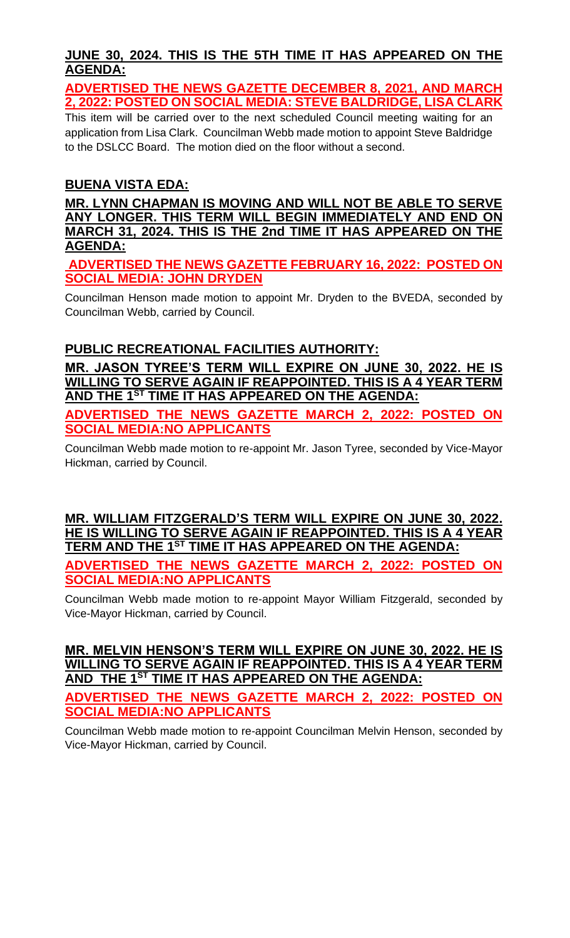# **JUNE 30, 2024. THIS IS THE 5TH TIME IT HAS APPEARED ON THE AGENDA:**

**ADVERTISED THE NEWS GAZETTE DECEMBER 8, 2021, AND MARCH 2, 2022: POSTED ON SOCIAL MEDIA: STEVE BALDRIDGE, LISA CLARK**

This item will be carried over to the next scheduled Council meeting waiting for an application from Lisa Clark. Councilman Webb made motion to appoint Steve Baldridge to the DSLCC Board. The motion died on the floor without a second.

# **BUENA VISTA EDA:**

**MR. LYNN CHAPMAN IS MOVING AND WILL NOT BE ABLE TO SERVE ANY LONGER. THIS TERM WILL BEGIN IMMEDIATELY AND END ON MARCH 31, 2024. THIS IS THE 2nd TIME IT HAS APPEARED ON THE AGENDA:**

**ADVERTISED THE NEWS GAZETTE FEBRUARY 16, 2022: POSTED ON SOCIAL MEDIA: JOHN DRYDEN**

Councilman Henson made motion to appoint Mr. Dryden to the BVEDA, seconded by Councilman Webb, carried by Council.

# **PUBLIC RECREATIONAL FACILITIES AUTHORITY:**

**MR. JASON TYREE'S TERM WILL EXPIRE ON JUNE 30, 2022. HE IS WILLING TO SERVE AGAIN IF REAPPOINTED. THIS IS A 4 YEAR TERM AND THE 1 ST TIME IT HAS APPEARED ON THE AGENDA:**

**ADVERTISED THE NEWS GAZETTE MARCH 2, 2022: POSTED ON SOCIAL MEDIA:NO APPLICANTS**

Councilman Webb made motion to re-appoint Mr. Jason Tyree, seconded by Vice-Mayor Hickman, carried by Council.

**MR. WILLIAM FITZGERALD'S TERM WILL EXPIRE ON JUNE 30, 2022. HE IS WILLING TO SERVE AGAIN IF REAPPOINTED. THIS IS A 4 YEAR TERM AND THE 1ST TIME IT HAS APPEARED ON THE AGENDA: ADVERTISED THE NEWS GAZETTE MARCH 2, 2022: POSTED ON SOCIAL MEDIA:NO APPLICANTS**

Councilman Webb made motion to re-appoint Mayor William Fitzgerald, seconded by Vice-Mayor Hickman, carried by Council.

#### **MR. MELVIN HENSON'S TERM WILL EXPIRE ON JUNE 30, 2022. HE IS WILLING TO SERVE AGAIN IF REAPPOINTED. THIS IS A 4 YEAR TERM AND THE 1ST TIME IT HAS APPEARED ON THE AGENDA:**

**ADVERTISED THE NEWS GAZETTE MARCH 2, 2022: POSTED ON SOCIAL MEDIA:NO APPLICANTS**

Councilman Webb made motion to re-appoint Councilman Melvin Henson, seconded by Vice-Mayor Hickman, carried by Council.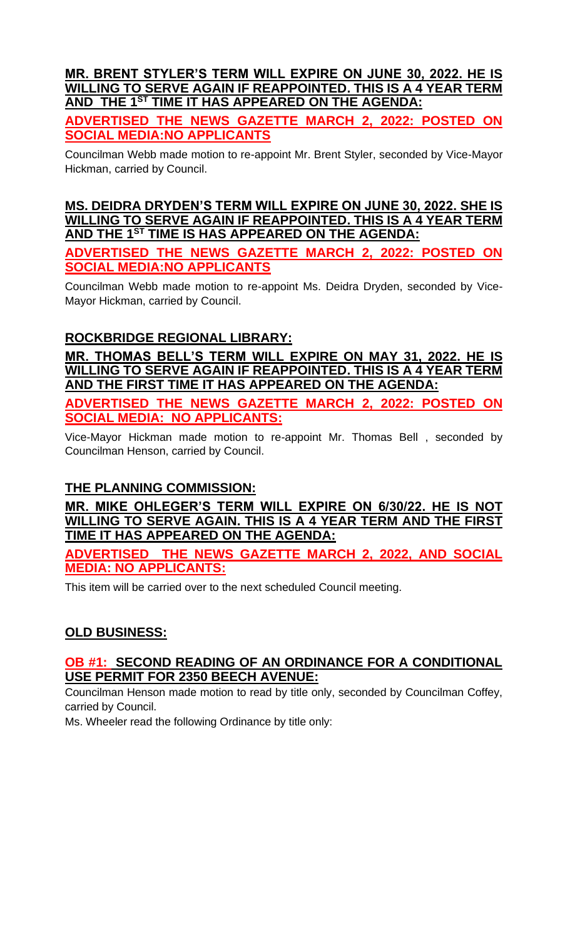### **MR. BRENT STYLER'S TERM WILL EXPIRE ON JUNE 30, 2022. HE IS WILLING TO SERVE AGAIN IF REAPPOINTED. THIS IS A 4 YEAR TERM AND THE 1ST TIME IT HAS APPEARED ON THE AGENDA:**

**ADVERTISED THE NEWS GAZETTE MARCH 2, 2022: POSTED ON SOCIAL MEDIA:NO APPLICANTS**

Councilman Webb made motion to re-appoint Mr. Brent Styler, seconded by Vice-Mayor Hickman, carried by Council.

**MS. DEIDRA DRYDEN'S TERM WILL EXPIRE ON JUNE 30, 2022. SHE IS WILLING TO SERVE AGAIN IF REAPPOINTED. THIS IS A 4 YEAR TERM AND THE 1ST TIME IS HAS APPEARED ON THE AGENDA:**

**ADVERTISED THE NEWS GAZETTE MARCH 2, 2022: POSTED ON SOCIAL MEDIA:NO APPLICANTS**

Councilman Webb made motion to re-appoint Ms. Deidra Dryden, seconded by Vice-Mayor Hickman, carried by Council.

# **ROCKBRIDGE REGIONAL LIBRARY:**

**MR. THOMAS BELL'S TERM WILL EXPIRE ON MAY 31, 2022. HE IS WILLING TO SERVE AGAIN IF REAPPOINTED. THIS IS A 4 YEAR TERM AND THE FIRST TIME IT HAS APPEARED ON THE AGENDA:**

**ADVERTISED THE NEWS GAZETTE MARCH 2, 2022: POSTED ON SOCIAL MEDIA: NO APPLICANTS:**

Vice-Mayor Hickman made motion to re-appoint Mr. Thomas Bell , seconded by Councilman Henson, carried by Council.

# **THE PLANNING COMMISSION:**

**MR. MIKE OHLEGER'S TERM WILL EXPIRE ON 6/30/22. HE IS NOT WILLING TO SERVE AGAIN. THIS IS A 4 YEAR TERM AND THE FIRST TIME IT HAS APPEARED ON THE AGENDA:**

**ADVERTISED THE NEWS GAZETTE MARCH 2, 2022, AND SOCIAL MEDIA: NO APPLICANTS:**

This item will be carried over to the next scheduled Council meeting.

# **OLD BUSINESS:**

### **OB #1: SECOND READING OF AN ORDINANCE FOR A CONDITIONAL USE PERMIT FOR 2350 BEECH AVENUE:**

Councilman Henson made motion to read by title only, seconded by Councilman Coffey, carried by Council.

Ms. Wheeler read the following Ordinance by title only: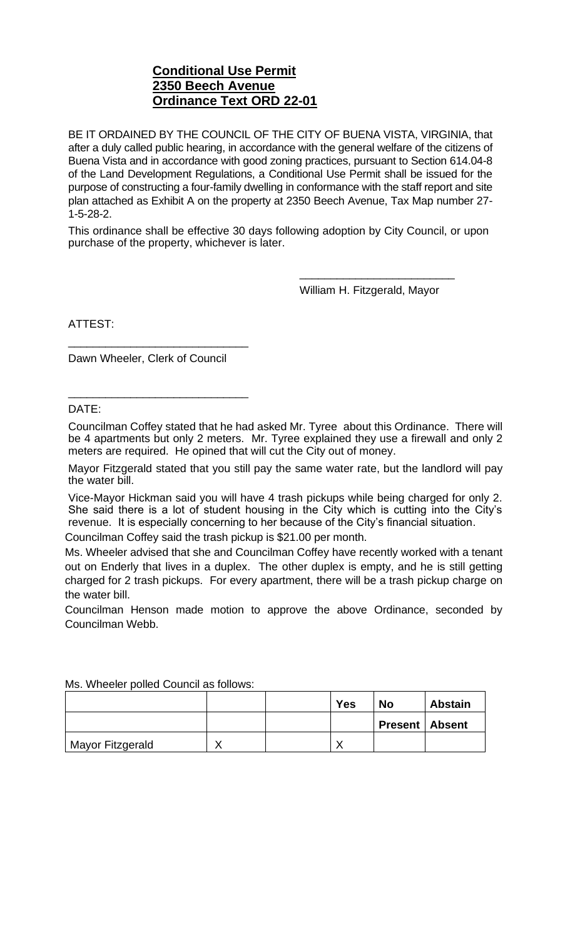### **Conditional Use Permit 2350 Beech Avenue Ordinance Text ORD 22-01**

BE IT ORDAINED BY THE COUNCIL OF THE CITY OF BUENA VISTA, VIRGINIA, that after a duly called public hearing, in accordance with the general welfare of the citizens of Buena Vista and in accordance with good zoning practices, pursuant to Section 614.04-8 of the Land Development Regulations, a Conditional Use Permit shall be issued for the purpose of constructing a four-family dwelling in conformance with the staff report and site plan attached as Exhibit A on the property at 2350 Beech Avenue, Tax Map number 27- 1-5-28-2.

This ordinance shall be effective 30 days following adoption by City Council, or upon purchase of the property, whichever is later.

William H. Fitzgerald, Mayor

\_\_\_\_\_\_\_\_\_\_\_\_\_\_\_\_\_\_\_\_\_\_\_\_\_

ATTEST:

Dawn Wheeler, Clerk of Council

\_\_\_\_\_\_\_\_\_\_\_\_\_\_\_\_\_\_\_\_\_\_\_\_\_\_\_\_\_

\_\_\_\_\_\_\_\_\_\_\_\_\_\_\_\_\_\_\_\_\_\_\_\_\_\_\_\_\_

DATE:

Councilman Coffey stated that he had asked Mr. Tyree about this Ordinance. There will be 4 apartments but only 2 meters. Mr. Tyree explained they use a firewall and only 2 meters are required. He opined that will cut the City out of money.

Mayor Fitzgerald stated that you still pay the same water rate, but the landlord will pay the water bill.

Vice-Mayor Hickman said you will have 4 trash pickups while being charged for only 2. She said there is a lot of student housing in the City which is cutting into the City's revenue. It is especially concerning to her because of the City's financial situation.

Councilman Coffey said the trash pickup is \$21.00 per month.

Ms. Wheeler advised that she and Councilman Coffey have recently worked with a tenant out on Enderly that lives in a duplex. The other duplex is empty, and he is still getting charged for 2 trash pickups. For every apartment, there will be a trash pickup charge on the water bill.

Councilman Henson made motion to approve the above Ordinance, seconded by Councilman Webb.

|                  |  | Yes | <b>No</b>               | <b>Abstain</b> |
|------------------|--|-----|-------------------------|----------------|
|                  |  |     | <b>Present   Absent</b> |                |
| Mayor Fitzgerald |  |     |                         |                |

Ms. Wheeler polled Council as follows: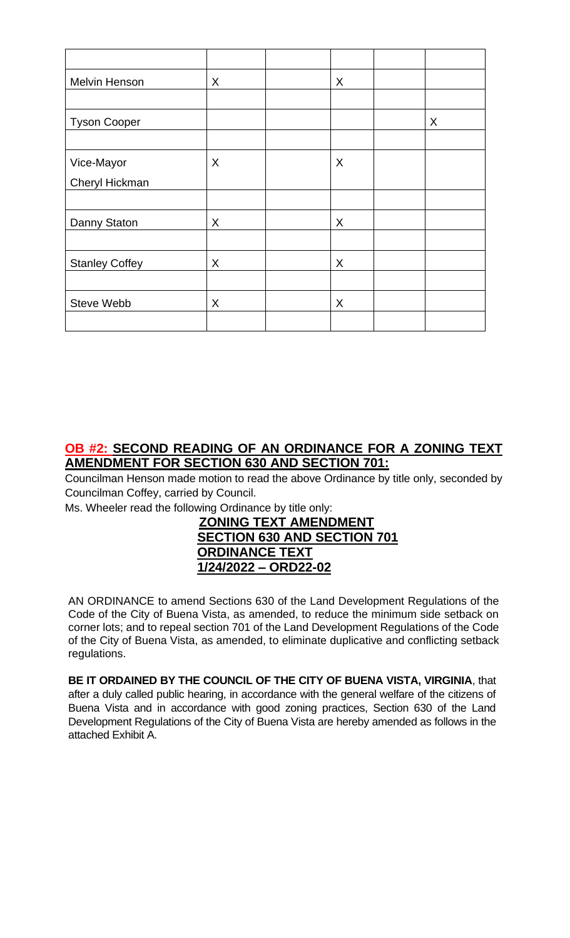| Melvin Henson         | X | X |   |
|-----------------------|---|---|---|
|                       |   |   |   |
| <b>Tyson Cooper</b>   |   |   | X |
|                       |   |   |   |
| Vice-Mayor            | X | X |   |
| Cheryl Hickman        |   |   |   |
|                       |   |   |   |
| Danny Staton          | X | X |   |
|                       |   |   |   |
| <b>Stanley Coffey</b> | X | X |   |
|                       |   |   |   |
| Steve Webb            | X | X |   |
|                       |   |   |   |

### **OB #2: SECOND READING OF AN ORDINANCE FOR A ZONING TEXT AMENDMENT FOR SECTION 630 AND SECTION 701:**

Councilman Henson made motion to read the above Ordinance by title only, seconded by Councilman Coffey, carried by Council.

Ms. Wheeler read the following Ordinance by title only:

### **ZONING TEXT AMENDMENT SECTION 630 AND SECTION 701 ORDINANCE TEXT 1/24/2022 – ORD22-02**

AN ORDINANCE to amend Sections 630 of the Land Development Regulations of the Code of the City of Buena Vista, as amended, to reduce the minimum side setback on corner lots; and to repeal section 701 of the Land Development Regulations of the Code of the City of Buena Vista, as amended, to eliminate duplicative and conflicting setback regulations.

**BE IT ORDAINED BY THE COUNCIL OF THE CITY OF BUENA VISTA, VIRGINIA**, that after a duly called public hearing, in accordance with the general welfare of the citizens of Buena Vista and in accordance with good zoning practices, Section 630 of the Land Development Regulations of the City of Buena Vista are hereby amended as follows in the attached Exhibit A.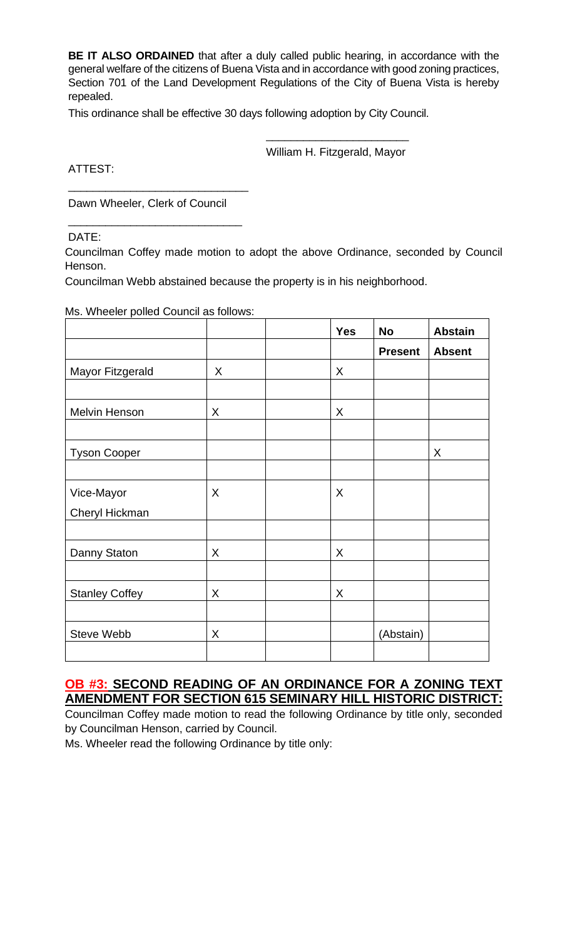**BE IT ALSO ORDAINED** that after a duly called public hearing, in accordance with the general welfare of the citizens of Buena Vista and in accordance with good zoning practices, Section 701 of the Land Development Regulations of the City of Buena Vista is hereby repealed.

This ordinance shall be effective 30 days following adoption by City Council.

\_\_\_\_\_\_\_\_\_\_\_\_\_\_\_\_\_\_\_\_\_\_\_ William H. Fitzgerald, Mayor

ATTEST:

Dawn Wheeler, Clerk of Council

\_\_\_\_\_\_\_\_\_\_\_\_\_\_\_\_\_\_\_\_\_\_\_\_\_\_\_\_\_

\_\_\_\_\_\_\_\_\_\_\_\_\_\_\_\_\_\_\_\_\_\_\_\_\_\_\_\_

DATE:

Councilman Coffey made motion to adopt the above Ordinance, seconded by Council Henson.

Councilman Webb abstained because the property is in his neighborhood.

Ms. Wheeler polled Council as follows:

|                       |   | <b>Yes</b> | <b>No</b>      | <b>Abstain</b> |
|-----------------------|---|------------|----------------|----------------|
|                       |   |            | <b>Present</b> | <b>Absent</b>  |
| Mayor Fitzgerald      | X | X          |                |                |
|                       |   |            |                |                |
| Melvin Henson         | X | X          |                |                |
|                       |   |            |                |                |
| <b>Tyson Cooper</b>   |   |            |                | X              |
|                       |   |            |                |                |
| Vice-Mayor            | X | X          |                |                |
| Cheryl Hickman        |   |            |                |                |
|                       |   |            |                |                |
| Danny Staton          | X | X          |                |                |
|                       |   |            |                |                |
| <b>Stanley Coffey</b> | X | X          |                |                |
|                       |   |            |                |                |
| Steve Webb            | X |            | (Abstain)      |                |
|                       |   |            |                |                |

### **OB #3: SECOND READING OF AN ORDINANCE FOR A ZONING TEXT AMENDMENT FOR SECTION 615 SEMINARY HILL HISTORIC DISTRICT:**

Councilman Coffey made motion to read the following Ordinance by title only, seconded by Councilman Henson, carried by Council.

Ms. Wheeler read the following Ordinance by title only: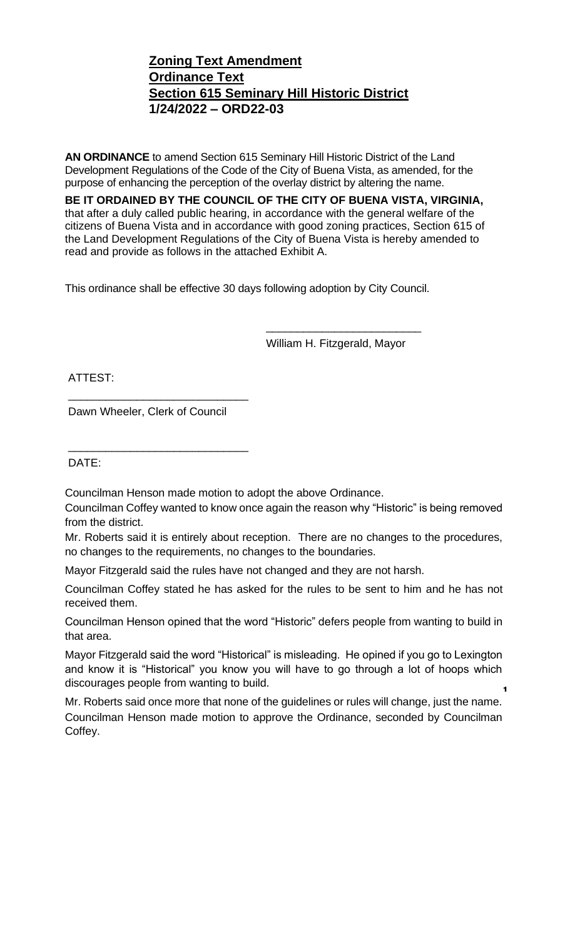### **Zoning Text Amendment Ordinance Text Section 615 Seminary Hill Historic District 1/24/2022 – ORD22-03**

**AN ORDINANCE** to amend Section 615 Seminary Hill Historic District of the Land Development Regulations of the Code of the City of Buena Vista, as amended, for the purpose of enhancing the perception of the overlay district by altering the name.

**BE IT ORDAINED BY THE COUNCIL OF THE CITY OF BUENA VISTA, VIRGINIA,** that after a duly called public hearing, in accordance with the general welfare of the citizens of Buena Vista and in accordance with good zoning practices, Section 615 of the Land Development Regulations of the City of Buena Vista is hereby amended to read and provide as follows in the attached Exhibit A.

This ordinance shall be effective 30 days following adoption by City Council.

William H. Fitzgerald, Mayor

\_\_\_\_\_\_\_\_\_\_\_\_\_\_\_\_\_\_\_\_\_\_\_\_\_

ATTEST:

Dawn Wheeler, Clerk of Council

\_\_\_\_\_\_\_\_\_\_\_\_\_\_\_\_\_\_\_\_\_\_\_\_\_\_\_\_\_

\_\_\_\_\_\_\_\_\_\_\_\_\_\_\_\_\_\_\_\_\_\_\_\_\_\_\_\_\_

DATE:

Councilman Henson made motion to adopt the above Ordinance.

Councilman Coffey wanted to know once again the reason why "Historic" is being removed from the district.

Mr. Roberts said it is entirely about reception. There are no changes to the procedures, no changes to the requirements, no changes to the boundaries.

Mayor Fitzgerald said the rules have not changed and they are not harsh.

Councilman Coffey stated he has asked for the rules to be sent to him and he has not received them.

Councilman Henson opined that the word "Historic" defers people from wanting to build in that area.

Mayor Fitzgerald said the word "Historical" is misleading. He opined if you go to Lexington and know it is "Historical" you know you will have to go through a lot of hoops which discourages people from wanting to build. **1**

Mr. Roberts said once more that none of the guidelines or rules will change, just the name. Councilman Henson made motion to approve the Ordinance, seconded by Councilman Coffey.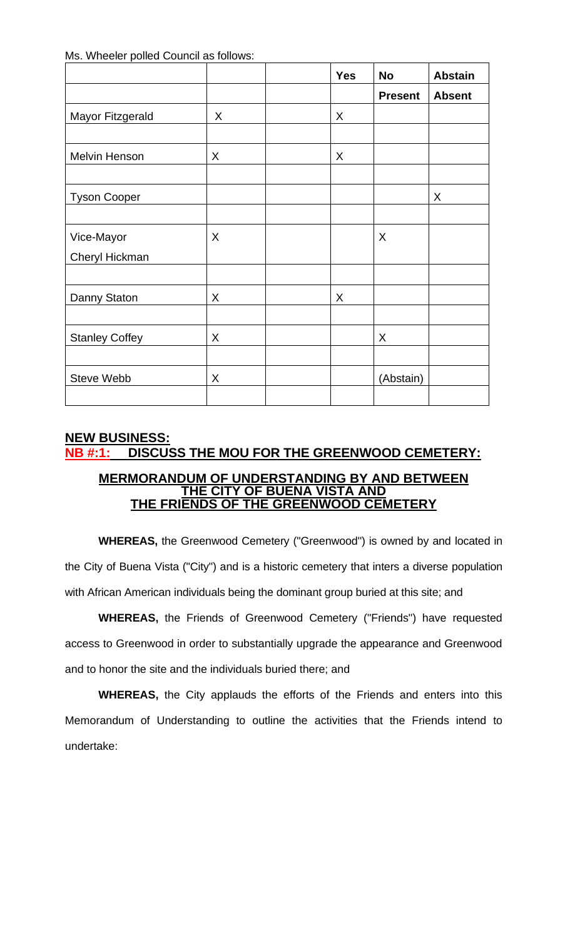Ms. Wheeler polled Council as follows:

|                       |   | <b>Yes</b> | <b>No</b>      | <b>Abstain</b> |
|-----------------------|---|------------|----------------|----------------|
|                       |   |            | <b>Present</b> | <b>Absent</b>  |
| Mayor Fitzgerald      | X | X          |                |                |
|                       |   |            |                |                |
| Melvin Henson         | X | X          |                |                |
|                       |   |            |                |                |
| <b>Tyson Cooper</b>   |   |            |                | X              |
|                       |   |            |                |                |
| Vice-Mayor            | X |            | X              |                |
| Cheryl Hickman        |   |            |                |                |
|                       |   |            |                |                |
| Danny Staton          | X | X          |                |                |
|                       |   |            |                |                |
| <b>Stanley Coffey</b> | X |            | X              |                |
|                       |   |            |                |                |
| <b>Steve Webb</b>     | X |            | (Abstain)      |                |
|                       |   |            |                |                |

# **NEW BUSINESS: NB #:1: DISCUSS THE MOU FOR THE GREENWOOD CEMETERY:**

#### **MERMORANDUM OF UNDERSTANDING BY AND BETWEEN THE CITY OF BUENA VISTA AND THE FRIENDS OF THE GREENWOOD CEMETERY**

**WHEREAS,** the Greenwood Cemetery ("Greenwood") is owned by and located in the City of Buena Vista ("City") and is a historic cemetery that inters a diverse population with African American individuals being the dominant group buried at this site; and

**WHEREAS,** the Friends of Greenwood Cemetery ("Friends") have requested access to Greenwood in order to substantially upgrade the appearance and Greenwood and to honor the site and the individuals buried there; and

**WHEREAS,** the City applauds the efforts of the Friends and enters into this Memorandum of Understanding to outline the activities that the Friends intend to undertake: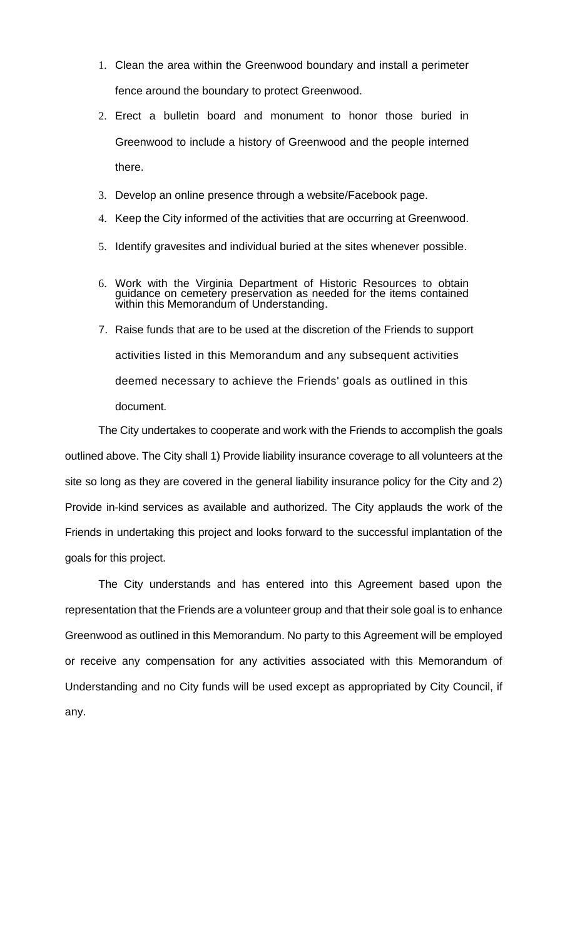- 1. Clean the area within the Greenwood boundary and install a perimeter fence around the boundary to protect Greenwood.
- 2. Erect a bulletin board and monument to honor those buried in Greenwood to include a history of Greenwood and the people interned there.
- 3. Develop an online presence through a website/Facebook page.
- 4. Keep the City informed of the activities that are occurring at Greenwood.
- 5. Identify gravesites and individual buried at the sites whenever possible.
- 6. Work with the Virginia Department of Historic Resources to obtain guidance on cemetery preservation as needed for the items contained within this Memorandum of Understanding.
- 7. Raise funds that are to be used at the discretion of the Friends to support activities listed in this Memorandum and any subsequent activities deemed necessary to achieve the Friends' goals as outlined in this document.

The City undertakes to cooperate and work with the Friends to accomplish the goals outlined above. The City shall 1) Provide liability insurance coverage to all volunteers at the site so long as they are covered in the general liability insurance policy for the City and 2) Provide in-kind services as available and authorized. The City applauds the work of the Friends in undertaking this project and looks forward to the successful implantation of the goals for this project.

The City understands and has entered into this Agreement based upon the representation that the Friends are a volunteer group and that their sole goal is to enhance Greenwood as outlined in this Memorandum. No party to this Agreement will be employed or receive any compensation for any activities associated with this Memorandum of Understanding and no City funds will be used except as appropriated by City Council, if any.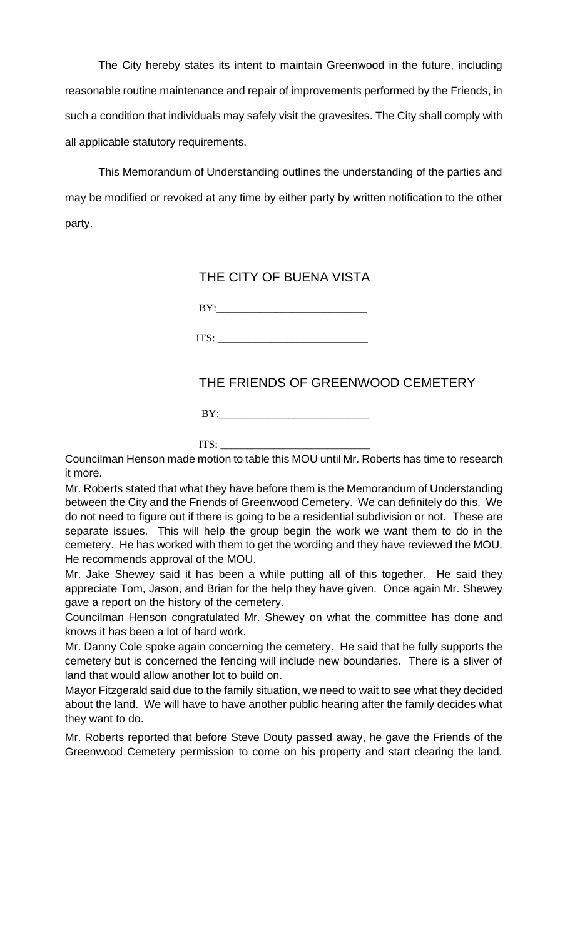The City hereby states its intent to maintain Greenwood in the future, including reasonable routine maintenance and repair of improvements performed by the Friends, in such a condition that individuals may safely visit the gravesites. The City shall comply with all applicable statutory requirements.

This Memorandum of Understanding outlines the understanding of the parties and may be modified or revoked at any time by either party by written notification to the other party.

### THE CITY OF BUENA VISTA

 $BY:$ 

ITS: \_\_\_\_\_\_\_\_\_\_\_\_\_\_\_\_\_\_\_\_\_\_\_\_\_\_\_\_

# THE FRIENDS OF GREENWOOD CEMETERY

 $BY:$ 

 $ITS:$ 

Councilman Henson made motion to table this MOU until Mr. Roberts has time to research it more.

Mr. Roberts stated that what they have before them is the Memorandum of Understanding between the City and the Friends of Greenwood Cemetery. We can definitely do this. We do not need to figure out if there is going to be a residential subdivision or not. These are separate issues. This will help the group begin the work we want them to do in the cemetery. He has worked with them to get the wording and they have reviewed the MOU. He recommends approval of the MOU.

Mr. Jake Shewey said it has been a while putting all of this together. He said they appreciate Tom, Jason, and Brian for the help they have given. Once again Mr. Shewey gave a report on the history of the cemetery.

Councilman Henson congratulated Mr. Shewey on what the committee has done and knows it has been a lot of hard work.

Mr. Danny Cole spoke again concerning the cemetery. He said that he fully supports the cemetery but is concerned the fencing will include new boundaries. There is a sliver of land that would allow another lot to build on.

Mayor Fitzgerald said due to the family situation, we need to wait to see what they decided about the land. We will have to have another public hearing after the family decides what they want to do.

Mr. Roberts reported that before Steve Douty passed away, he gave the Friends of the Greenwood Cemetery permission to come on his property and start clearing the land.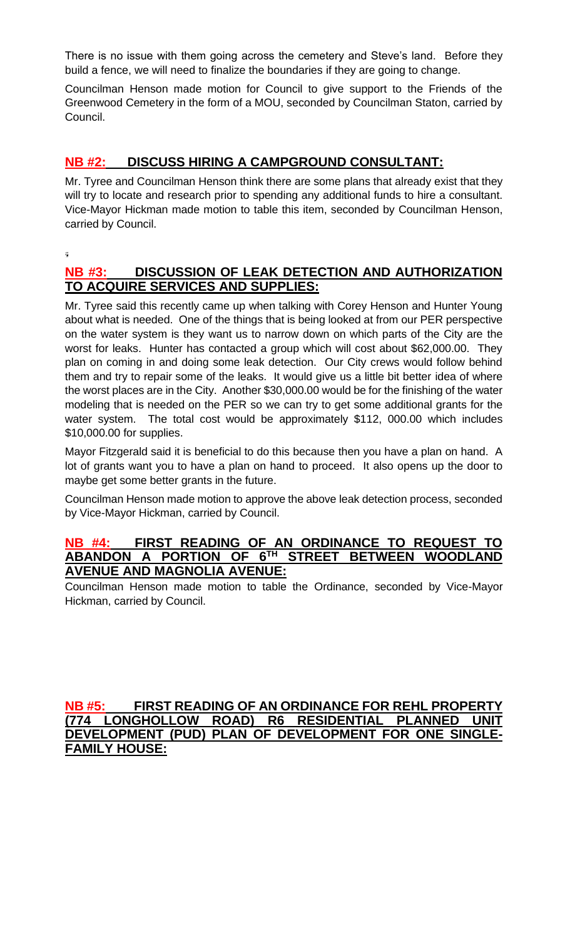There is no issue with them going across the cemetery and Steve's land. Before they build a fence, we will need to finalize the boundaries if they are going to change.

Councilman Henson made motion for Council to give support to the Friends of the Greenwood Cemetery in the form of a MOU, seconded by Councilman Staton, carried by Council.

# **NB #2: DISCUSS HIRING A CAMPGROUND CONSULTANT:**

Mr. Tyree and Councilman Henson think there are some plans that already exist that they will try to locate and research prior to spending any additional funds to hire a consultant. Vice-Mayor Hickman made motion to table this item, seconded by Councilman Henson, carried by Council.

ģ.

### **NB #3: DISCUSSION OF LEAK DETECTION AND AUTHORIZATION TO ACQUIRE SERVICES AND SUPPLIES:**

Mr. Tyree said this recently came up when talking with Corey Henson and Hunter Young about what is needed. One of the things that is being looked at from our PER perspective on the water system is they want us to narrow down on which parts of the City are the worst for leaks. Hunter has contacted a group which will cost about \$62,000.00. They plan on coming in and doing some leak detection. Our City crews would follow behind them and try to repair some of the leaks. It would give us a little bit better idea of where the worst places are in the City. Another \$30,000.00 would be for the finishing of the water modeling that is needed on the PER so we can try to get some additional grants for the water system. The total cost would be approximately \$112, 000.00 which includes \$10,000.00 for supplies.

Mayor Fitzgerald said it is beneficial to do this because then you have a plan on hand. A lot of grants want you to have a plan on hand to proceed. It also opens up the door to maybe get some better grants in the future.

Councilman Henson made motion to approve the above leak detection process, seconded by Vice-Mayor Hickman, carried by Council.

#### **NB #4: FIRST READING OF AN ORDINANCE TO REQUEST TO ABANDON A PORTION OF 6TH STREET BETWEEN WOODLAND AVENUE AND MAGNOLIA AVENUE:**

Councilman Henson made motion to table the Ordinance, seconded by Vice-Mayor Hickman, carried by Council.

#### **NB #5: FIRST READING OF AN ORDINANCE FOR REHL PROPERTY (774 LONGHOLLOW ROAD) R6 RESIDENTIAL PLANNED UNIT DEVELOPMENT (PUD) PLAN OF DEVELOPMENT FOR ONE SINGLE-FAMILY HOUSE:**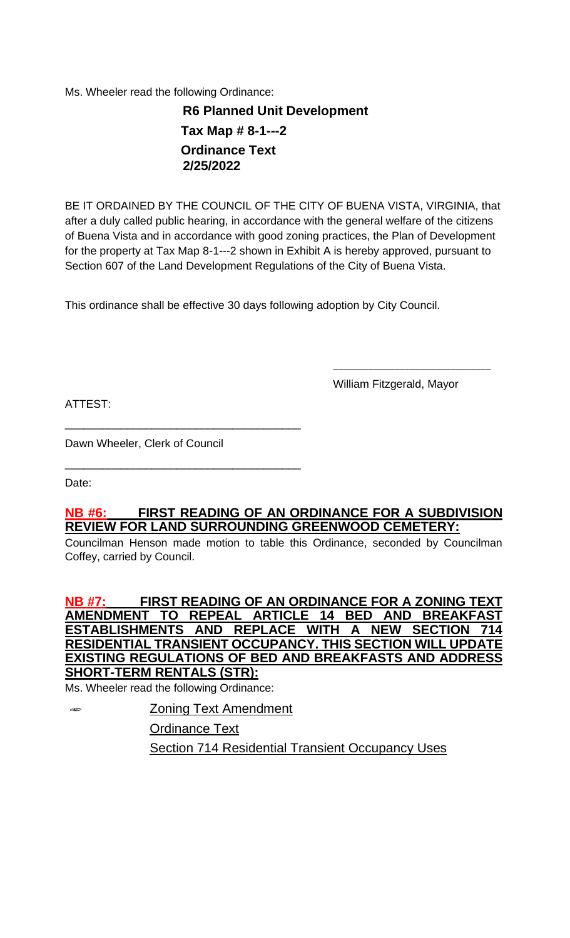Ms. Wheeler read the following Ordinance:

 **R6 Planned Unit Development Tax Map # 8-1---2 Ordinance Text 2/25/2022**

BE IT ORDAINED BY THE COUNCIL OF THE CITY OF BUENA VISTA, VIRGINIA, that after a duly called public hearing, in accordance with the general welfare of the citizens of Buena Vista and in accordance with good zoning practices, the Plan of Development for the property at Tax Map 8-1---2 shown in Exhibit A is hereby approved, pursuant to Section 607 of the Land Development Regulations of the City of Buena Vista.

This ordinance shall be effective 30 days following adoption by City Council.

William Fitzgerald, Mayor

\_\_\_\_\_\_\_\_\_\_\_\_\_\_\_\_\_\_\_\_\_\_\_\_\_\_\_\_\_\_\_

ATTEST:

Dawn Wheeler, Clerk of Council

\_\_\_\_\_\_\_\_\_\_\_\_\_\_\_\_\_\_\_\_\_\_\_\_\_\_\_\_\_\_\_\_\_\_\_\_\_\_

\_\_\_\_\_\_\_\_\_\_\_\_\_\_\_\_\_\_\_\_\_\_\_\_\_\_\_\_\_\_\_\_\_\_\_\_\_\_

Date:

### **NB #6: FIRST READING OF AN ORDINANCE FOR A SUBDIVISION REVIEW FOR LAND SURROUNDING GREENWOOD CEMETERY:**

Councilman Henson made motion to table this Ordinance, seconded by Councilman Coffey, carried by Council.

### **NB #7: FIRST READING OF AN ORDINANCE FOR A ZONING TEXT AMENDMENT TO REPEAL ARTICLE 14 BED AND BREAKFAST ESTABLISHMENTS AND REPLACE WITH A NEW SECTION 714 RESIDENTIAL TRANSIENT OCCUPANCY. THIS SECTION WILL UPDATE EXISTING REGULATIONS OF BED AND BREAKFASTS AND ADDRESS SHORT-TERM RENTALS (STR):**

Ms. Wheeler read the following Ordinance:

 $6800$ 

Zoning Text Amendment Ordinance Text Section 714 Residential Transient Occupancy Uses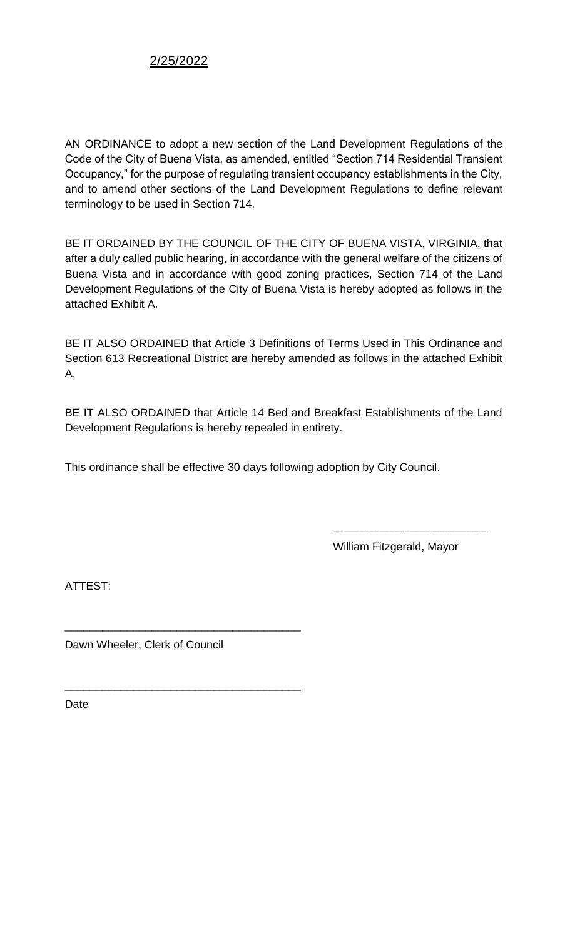### 2/25/2022

AN ORDINANCE to adopt a new section of the Land Development Regulations of the Code of the City of Buena Vista, as amended, entitled "Section 714 Residential Transient Occupancy," for the purpose of regulating transient occupancy establishments in the City, and to amend other sections of the Land Development Regulations to define relevant terminology to be used in Section 714.

BE IT ORDAINED BY THE COUNCIL OF THE CITY OF BUENA VISTA, VIRGINIA, that after a duly called public hearing, in accordance with the general welfare of the citizens of Buena Vista and in accordance with good zoning practices, Section 714 of the Land Development Regulations of the City of Buena Vista is hereby adopted as follows in the attached Exhibit A.

BE IT ALSO ORDAINED that Article 3 Definitions of Terms Used in This Ordinance and Section 613 Recreational District are hereby amended as follows in the attached Exhibit A.

BE IT ALSO ORDAINED that Article 14 Bed and Breakfast Establishments of the Land Development Regulations is hereby repealed in entirety.

This ordinance shall be effective 30 days following adoption by City Council.

William Fitzgerald, Mayor

\_\_\_\_\_\_\_\_\_\_\_\_\_\_\_\_\_\_\_\_\_\_\_\_\_\_\_\_\_\_

ATTEST:

Dawn Wheeler, Clerk of Council

\_\_\_\_\_\_\_\_\_\_\_\_\_\_\_\_\_\_\_\_\_\_\_\_\_\_\_\_\_\_\_\_\_\_\_\_\_\_

\_\_\_\_\_\_\_\_\_\_\_\_\_\_\_\_\_\_\_\_\_\_\_\_\_\_\_\_\_\_\_\_\_\_\_\_\_\_

Date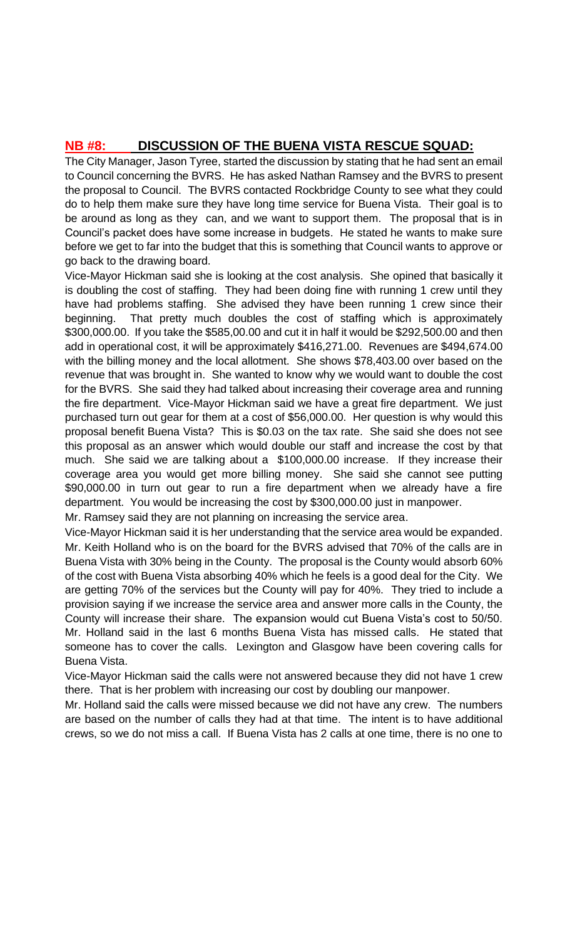# **NB #8: DISCUSSION OF THE BUENA VISTA RESCUE SQUAD:**

The City Manager, Jason Tyree, started the discussion by stating that he had sent an email to Council concerning the BVRS. He has asked Nathan Ramsey and the BVRS to present the proposal to Council. The BVRS contacted Rockbridge County to see what they could do to help them make sure they have long time service for Buena Vista. Their goal is to be around as long as they can, and we want to support them. The proposal that is in Council's packet does have some increase in budgets. He stated he wants to make sure before we get to far into the budget that this is something that Council wants to approve or go back to the drawing board.

Vice-Mayor Hickman said she is looking at the cost analysis. She opined that basically it is doubling the cost of staffing. They had been doing fine with running 1 crew until they have had problems staffing. She advised they have been running 1 crew since their beginning. That pretty much doubles the cost of staffing which is approximately \$300,000.00. If you take the \$585,00.00 and cut it in half it would be \$292,500.00 and then add in operational cost, it will be approximately \$416,271.00. Revenues are \$494,674.00 with the billing money and the local allotment. She shows \$78,403.00 over based on the revenue that was brought in. She wanted to know why we would want to double the cost for the BVRS. She said they had talked about increasing their coverage area and running the fire department. Vice-Mayor Hickman said we have a great fire department. We just purchased turn out gear for them at a cost of \$56,000.00. Her question is why would this proposal benefit Buena Vista? This is \$0.03 on the tax rate. She said she does not see this proposal as an answer which would double our staff and increase the cost by that much. She said we are talking about a \$100,000.00 increase. If they increase their coverage area you would get more billing money. She said she cannot see putting \$90,000.00 in turn out gear to run a fire department when we already have a fire department. You would be increasing the cost by \$300,000.00 just in manpower.

Mr. Ramsey said they are not planning on increasing the service area.

Vice-Mayor Hickman said it is her understanding that the service area would be expanded. Mr. Keith Holland who is on the board for the BVRS advised that 70% of the calls are in Buena Vista with 30% being in the County. The proposal is the County would absorb 60% of the cost with Buena Vista absorbing 40% which he feels is a good deal for the City. We are getting 70% of the services but the County will pay for 40%. They tried to include a provision saying if we increase the service area and answer more calls in the County, the County will increase their share. The expansion would cut Buena Vista's cost to 50/50. Mr. Holland said in the last 6 months Buena Vista has missed calls. He stated that someone has to cover the calls. Lexington and Glasgow have been covering calls for Buena Vista.

Vice-Mayor Hickman said the calls were not answered because they did not have 1 crew there. That is her problem with increasing our cost by doubling our manpower.

Mr. Holland said the calls were missed because we did not have any crew. The numbers are based on the number of calls they had at that time. The intent is to have additional crews, so we do not miss a call. If Buena Vista has 2 calls at one time, there is no one to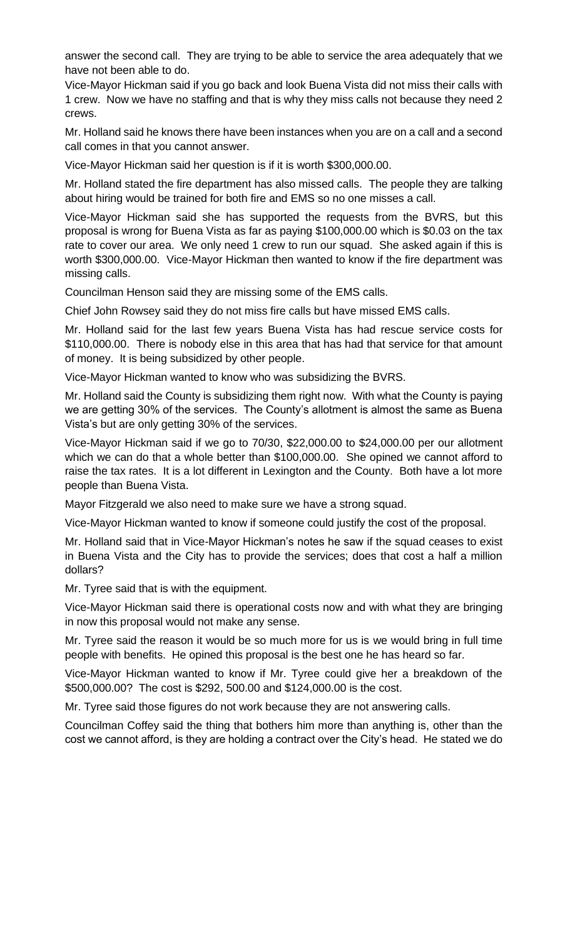answer the second call. They are trying to be able to service the area adequately that we have not been able to do.

Vice-Mayor Hickman said if you go back and look Buena Vista did not miss their calls with 1 crew. Now we have no staffing and that is why they miss calls not because they need 2 crews.

Mr. Holland said he knows there have been instances when you are on a call and a second call comes in that you cannot answer.

Vice-Mayor Hickman said her question is if it is worth \$300,000.00.

Mr. Holland stated the fire department has also missed calls. The people they are talking about hiring would be trained for both fire and EMS so no one misses a call.

Vice-Mayor Hickman said she has supported the requests from the BVRS, but this proposal is wrong for Buena Vista as far as paying \$100,000.00 which is \$0.03 on the tax rate to cover our area. We only need 1 crew to run our squad. She asked again if this is worth \$300,000.00. Vice-Mayor Hickman then wanted to know if the fire department was missing calls.

Councilman Henson said they are missing some of the EMS calls.

Chief John Rowsey said they do not miss fire calls but have missed EMS calls.

Mr. Holland said for the last few years Buena Vista has had rescue service costs for \$110,000.00. There is nobody else in this area that has had that service for that amount of money. It is being subsidized by other people.

Vice-Mayor Hickman wanted to know who was subsidizing the BVRS.

Mr. Holland said the County is subsidizing them right now. With what the County is paying we are getting 30% of the services. The County's allotment is almost the same as Buena Vista's but are only getting 30% of the services.

Vice-Mayor Hickman said if we go to 70/30, \$22,000.00 to \$24,000.00 per our allotment which we can do that a whole better than \$100,000.00. She opined we cannot afford to raise the tax rates. It is a lot different in Lexington and the County. Both have a lot more people than Buena Vista.

Mayor Fitzgerald we also need to make sure we have a strong squad.

Vice-Mayor Hickman wanted to know if someone could justify the cost of the proposal.

Mr. Holland said that in Vice-Mayor Hickman's notes he saw if the squad ceases to exist in Buena Vista and the City has to provide the services; does that cost a half a million dollars?

Mr. Tyree said that is with the equipment.

Vice-Mayor Hickman said there is operational costs now and with what they are bringing in now this proposal would not make any sense.

Mr. Tyree said the reason it would be so much more for us is we would bring in full time people with benefits. He opined this proposal is the best one he has heard so far.

Vice-Mayor Hickman wanted to know if Mr. Tyree could give her a breakdown of the \$500,000.00? The cost is \$292, 500.00 and \$124,000.00 is the cost.

Mr. Tyree said those figures do not work because they are not answering calls.

Councilman Coffey said the thing that bothers him more than anything is, other than the cost we cannot afford, is they are holding a contract over the City's head. He stated we do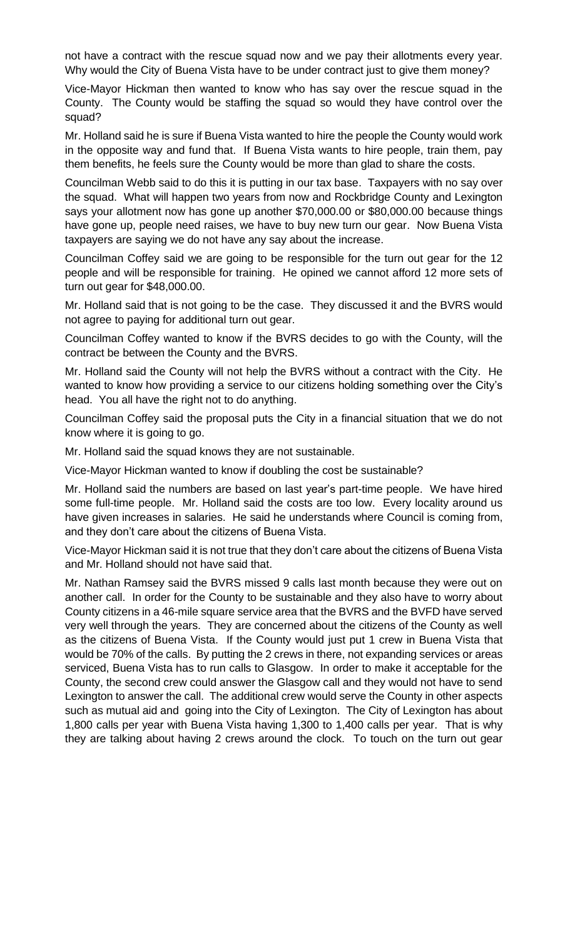not have a contract with the rescue squad now and we pay their allotments every year. Why would the City of Buena Vista have to be under contract just to give them money?

Vice-Mayor Hickman then wanted to know who has say over the rescue squad in the County. The County would be staffing the squad so would they have control over the squad?

Mr. Holland said he is sure if Buena Vista wanted to hire the people the County would work in the opposite way and fund that. If Buena Vista wants to hire people, train them, pay them benefits, he feels sure the County would be more than glad to share the costs.

Councilman Webb said to do this it is putting in our tax base. Taxpayers with no say over the squad. What will happen two years from now and Rockbridge County and Lexington says your allotment now has gone up another \$70,000.00 or \$80,000.00 because things have gone up, people need raises, we have to buy new turn our gear. Now Buena Vista taxpayers are saying we do not have any say about the increase.

Councilman Coffey said we are going to be responsible for the turn out gear for the 12 people and will be responsible for training. He opined we cannot afford 12 more sets of turn out gear for \$48,000.00.

Mr. Holland said that is not going to be the case. They discussed it and the BVRS would not agree to paying for additional turn out gear.

Councilman Coffey wanted to know if the BVRS decides to go with the County, will the contract be between the County and the BVRS.

Mr. Holland said the County will not help the BVRS without a contract with the City. He wanted to know how providing a service to our citizens holding something over the City's head. You all have the right not to do anything.

Councilman Coffey said the proposal puts the City in a financial situation that we do not know where it is going to go.

Mr. Holland said the squad knows they are not sustainable.

Vice-Mayor Hickman wanted to know if doubling the cost be sustainable?

Mr. Holland said the numbers are based on last year's part-time people. We have hired some full-time people. Mr. Holland said the costs are too low. Every locality around us have given increases in salaries. He said he understands where Council is coming from, and they don't care about the citizens of Buena Vista.

Vice-Mayor Hickman said it is not true that they don't care about the citizens of Buena Vista and Mr. Holland should not have said that.

Mr. Nathan Ramsey said the BVRS missed 9 calls last month because they were out on another call. In order for the County to be sustainable and they also have to worry about County citizens in a 46-mile square service area that the BVRS and the BVFD have served very well through the years. They are concerned about the citizens of the County as well as the citizens of Buena Vista. If the County would just put 1 crew in Buena Vista that would be 70% of the calls. By putting the 2 crews in there, not expanding services or areas serviced, Buena Vista has to run calls to Glasgow. In order to make it acceptable for the County, the second crew could answer the Glasgow call and they would not have to send Lexington to answer the call. The additional crew would serve the County in other aspects such as mutual aid and going into the City of Lexington. The City of Lexington has about 1,800 calls per year with Buena Vista having 1,300 to 1,400 calls per year. That is why they are talking about having 2 crews around the clock. To touch on the turn out gear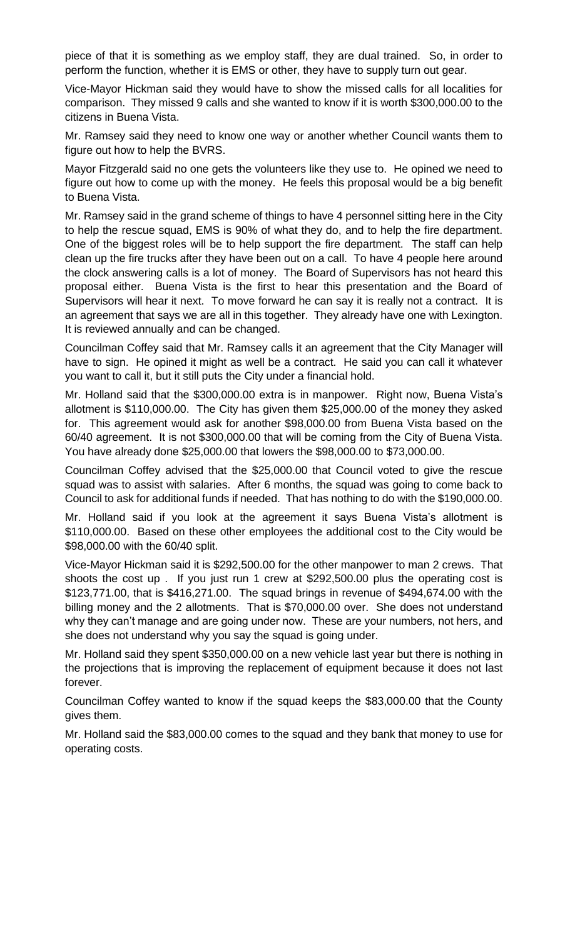piece of that it is something as we employ staff, they are dual trained. So, in order to perform the function, whether it is EMS or other, they have to supply turn out gear.

Vice-Mayor Hickman said they would have to show the missed calls for all localities for comparison. They missed 9 calls and she wanted to know if it is worth \$300,000.00 to the citizens in Buena Vista.

Mr. Ramsey said they need to know one way or another whether Council wants them to figure out how to help the BVRS.

Mayor Fitzgerald said no one gets the volunteers like they use to. He opined we need to figure out how to come up with the money. He feels this proposal would be a big benefit to Buena Vista.

Mr. Ramsey said in the grand scheme of things to have 4 personnel sitting here in the City to help the rescue squad, EMS is 90% of what they do, and to help the fire department. One of the biggest roles will be to help support the fire department. The staff can help clean up the fire trucks after they have been out on a call. To have 4 people here around the clock answering calls is a lot of money. The Board of Supervisors has not heard this proposal either. Buena Vista is the first to hear this presentation and the Board of Supervisors will hear it next. To move forward he can say it is really not a contract. It is an agreement that says we are all in this together. They already have one with Lexington. It is reviewed annually and can be changed.

Councilman Coffey said that Mr. Ramsey calls it an agreement that the City Manager will have to sign. He opined it might as well be a contract. He said you can call it whatever you want to call it, but it still puts the City under a financial hold.

Mr. Holland said that the \$300,000.00 extra is in manpower. Right now, Buena Vista's allotment is \$110,000.00. The City has given them \$25,000.00 of the money they asked for. This agreement would ask for another \$98,000.00 from Buena Vista based on the 60/40 agreement. It is not \$300,000.00 that will be coming from the City of Buena Vista. You have already done \$25,000.00 that lowers the \$98,000.00 to \$73,000.00.

Councilman Coffey advised that the \$25,000.00 that Council voted to give the rescue squad was to assist with salaries. After 6 months, the squad was going to come back to Council to ask for additional funds if needed. That has nothing to do with the \$190,000.00.

Mr. Holland said if you look at the agreement it says Buena Vista's allotment is \$110,000.00. Based on these other employees the additional cost to the City would be \$98,000.00 with the 60/40 split.

Vice-Mayor Hickman said it is \$292,500.00 for the other manpower to man 2 crews. That shoots the cost up . If you just run 1 crew at \$292,500.00 plus the operating cost is \$123,771.00, that is \$416,271.00. The squad brings in revenue of \$494,674.00 with the billing money and the 2 allotments. That is \$70,000.00 over. She does not understand why they can't manage and are going under now. These are your numbers, not hers, and she does not understand why you say the squad is going under.

Mr. Holland said they spent \$350,000.00 on a new vehicle last year but there is nothing in the projections that is improving the replacement of equipment because it does not last forever.

Councilman Coffey wanted to know if the squad keeps the \$83,000.00 that the County gives them.

Mr. Holland said the \$83,000.00 comes to the squad and they bank that money to use for operating costs.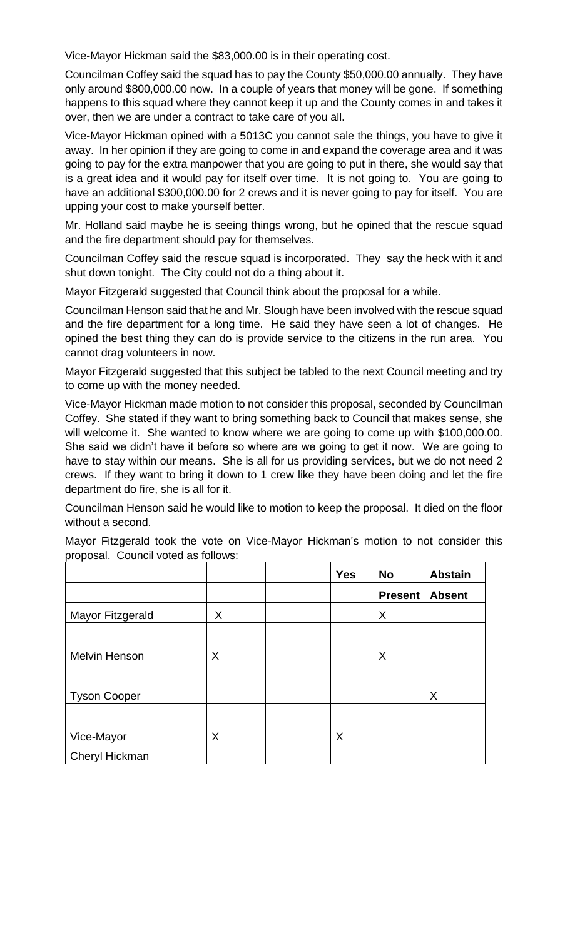Vice-Mayor Hickman said the \$83,000.00 is in their operating cost.

Councilman Coffey said the squad has to pay the County \$50,000.00 annually. They have only around \$800,000.00 now. In a couple of years that money will be gone. If something happens to this squad where they cannot keep it up and the County comes in and takes it over, then we are under a contract to take care of you all.

Vice-Mayor Hickman opined with a 5013C you cannot sale the things, you have to give it away. In her opinion if they are going to come in and expand the coverage area and it was going to pay for the extra manpower that you are going to put in there, she would say that is a great idea and it would pay for itself over time. It is not going to. You are going to have an additional \$300,000.00 for 2 crews and it is never going to pay for itself. You are upping your cost to make yourself better.

Mr. Holland said maybe he is seeing things wrong, but he opined that the rescue squad and the fire department should pay for themselves.

Councilman Coffey said the rescue squad is incorporated. They say the heck with it and shut down tonight. The City could not do a thing about it.

Mayor Fitzgerald suggested that Council think about the proposal for a while.

Councilman Henson said that he and Mr. Slough have been involved with the rescue squad and the fire department for a long time. He said they have seen a lot of changes. He opined the best thing they can do is provide service to the citizens in the run area. You cannot drag volunteers in now.

Mayor Fitzgerald suggested that this subject be tabled to the next Council meeting and try to come up with the money needed.

Vice-Mayor Hickman made motion to not consider this proposal, seconded by Councilman Coffey. She stated if they want to bring something back to Council that makes sense, she will welcome it. She wanted to know where we are going to come up with \$100,000.00. She said we didn't have it before so where are we going to get it now. We are going to have to stay within our means. She is all for us providing services, but we do not need 2 crews. If they want to bring it down to 1 crew like they have been doing and let the fire department do fire, she is all for it.

Councilman Henson said he would like to motion to keep the proposal. It died on the floor without a second.

Mayor Fitzgerald took the vote on Vice-Mayor Hickman's motion to not consider this proposal. Council voted as follows:

|                     |   | <b>Yes</b> | <b>No</b>      | <b>Abstain</b> |
|---------------------|---|------------|----------------|----------------|
|                     |   |            | <b>Present</b> | <b>Absent</b>  |
| Mayor Fitzgerald    | X |            | X              |                |
|                     |   |            |                |                |
| Melvin Henson       | X |            | X              |                |
|                     |   |            |                |                |
| <b>Tyson Cooper</b> |   |            |                | X              |
|                     |   |            |                |                |
| Vice-Mayor          | X | X          |                |                |
| Cheryl Hickman      |   |            |                |                |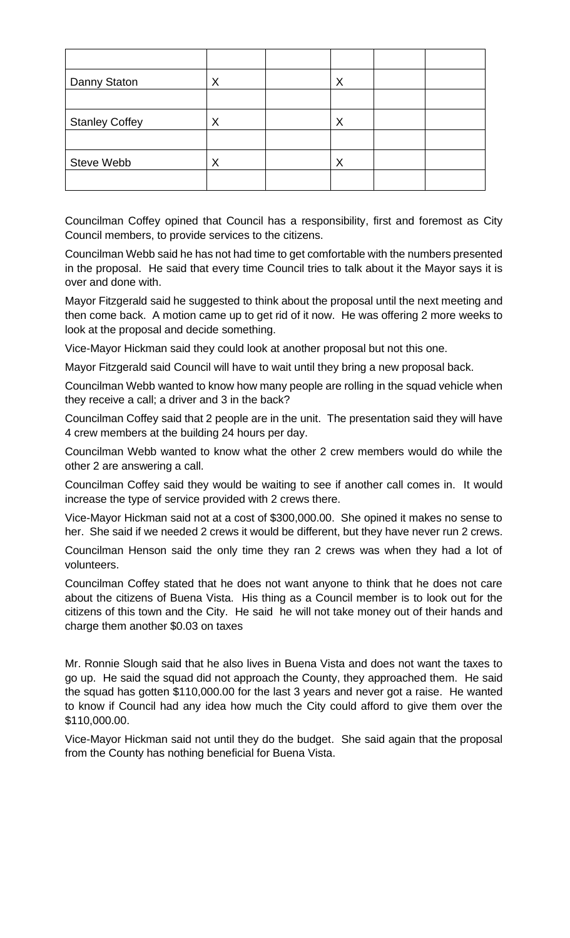| Danny Staton          | Χ | Χ |  |
|-----------------------|---|---|--|
|                       |   |   |  |
| <b>Stanley Coffey</b> | Χ | Χ |  |
|                       |   |   |  |
| Steve Webb            | ↗ | Χ |  |
|                       |   |   |  |

Councilman Coffey opined that Council has a responsibility, first and foremost as City Council members, to provide services to the citizens.

Councilman Webb said he has not had time to get comfortable with the numbers presented in the proposal. He said that every time Council tries to talk about it the Mayor says it is over and done with.

Mayor Fitzgerald said he suggested to think about the proposal until the next meeting and then come back. A motion came up to get rid of it now. He was offering 2 more weeks to look at the proposal and decide something.

Vice-Mayor Hickman said they could look at another proposal but not this one.

Mayor Fitzgerald said Council will have to wait until they bring a new proposal back.

Councilman Webb wanted to know how many people are rolling in the squad vehicle when they receive a call; a driver and 3 in the back?

Councilman Coffey said that 2 people are in the unit. The presentation said they will have 4 crew members at the building 24 hours per day.

Councilman Webb wanted to know what the other 2 crew members would do while the other 2 are answering a call.

Councilman Coffey said they would be waiting to see if another call comes in. It would increase the type of service provided with 2 crews there.

Vice-Mayor Hickman said not at a cost of \$300,000.00. She opined it makes no sense to her. She said if we needed 2 crews it would be different, but they have never run 2 crews.

Councilman Henson said the only time they ran 2 crews was when they had a lot of volunteers.

Councilman Coffey stated that he does not want anyone to think that he does not care about the citizens of Buena Vista. His thing as a Council member is to look out for the citizens of this town and the City. He said he will not take money out of their hands and charge them another \$0.03 on taxes

Mr. Ronnie Slough said that he also lives in Buena Vista and does not want the taxes to go up. He said the squad did not approach the County, they approached them. He said the squad has gotten \$110,000.00 for the last 3 years and never got a raise. He wanted to know if Council had any idea how much the City could afford to give them over the \$110,000.00.

Vice-Mayor Hickman said not until they do the budget. She said again that the proposal from the County has nothing beneficial for Buena Vista.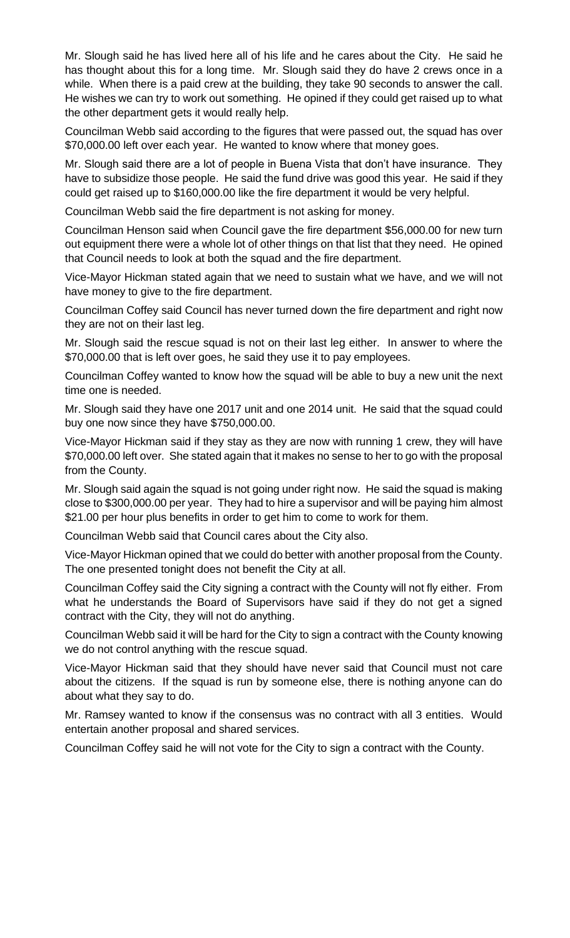Mr. Slough said he has lived here all of his life and he cares about the City. He said he has thought about this for a long time. Mr. Slough said they do have 2 crews once in a while. When there is a paid crew at the building, they take 90 seconds to answer the call. He wishes we can try to work out something. He opined if they could get raised up to what the other department gets it would really help.

Councilman Webb said according to the figures that were passed out, the squad has over \$70,000.00 left over each year. He wanted to know where that money goes.

Mr. Slough said there are a lot of people in Buena Vista that don't have insurance. They have to subsidize those people. He said the fund drive was good this year. He said if they could get raised up to \$160,000.00 like the fire department it would be very helpful.

Councilman Webb said the fire department is not asking for money.

Councilman Henson said when Council gave the fire department \$56,000.00 for new turn out equipment there were a whole lot of other things on that list that they need. He opined that Council needs to look at both the squad and the fire department.

Vice-Mayor Hickman stated again that we need to sustain what we have, and we will not have money to give to the fire department.

Councilman Coffey said Council has never turned down the fire department and right now they are not on their last leg.

Mr. Slough said the rescue squad is not on their last leg either. In answer to where the \$70,000.00 that is left over goes, he said they use it to pay employees.

Councilman Coffey wanted to know how the squad will be able to buy a new unit the next time one is needed.

Mr. Slough said they have one 2017 unit and one 2014 unit. He said that the squad could buy one now since they have \$750,000.00.

Vice-Mayor Hickman said if they stay as they are now with running 1 crew, they will have \$70,000.00 left over. She stated again that it makes no sense to her to go with the proposal from the County.

Mr. Slough said again the squad is not going under right now. He said the squad is making close to \$300,000.00 per year. They had to hire a supervisor and will be paying him almost \$21.00 per hour plus benefits in order to get him to come to work for them.

Councilman Webb said that Council cares about the City also.

Vice-Mayor Hickman opined that we could do better with another proposal from the County. The one presented tonight does not benefit the City at all.

Councilman Coffey said the City signing a contract with the County will not fly either. From what he understands the Board of Supervisors have said if they do not get a signed contract with the City, they will not do anything.

Councilman Webb said it will be hard for the City to sign a contract with the County knowing we do not control anything with the rescue squad.

Vice-Mayor Hickman said that they should have never said that Council must not care about the citizens. If the squad is run by someone else, there is nothing anyone can do about what they say to do.

Mr. Ramsey wanted to know if the consensus was no contract with all 3 entities. Would entertain another proposal and shared services.

Councilman Coffey said he will not vote for the City to sign a contract with the County.